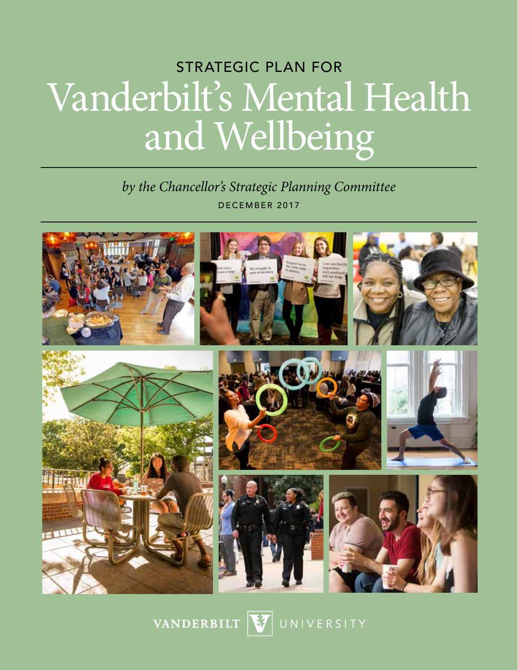# STRATEGIC PLAN FOR Vanderbilt's Mental Health and Wellbeing

# *by the Chancellor's Strategic Planning Committee* DECEMBER 2017



VANDERBILT

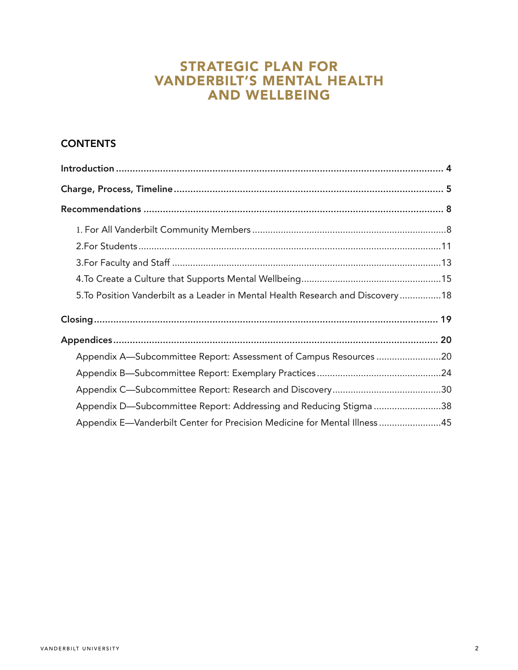# STRATEGIC PLAN FOR VANDERBILT'S MENTAL HEALTH AND WELLBEING

# **CONTENTS**

| 5. To Position Vanderbilt as a Leader in Mental Health Research and Discovery 18 |  |
|----------------------------------------------------------------------------------|--|
|                                                                                  |  |
|                                                                                  |  |
| Appendix A-Subcommittee Report: Assessment of Campus Resources 20                |  |
|                                                                                  |  |
|                                                                                  |  |
| Appendix D—Subcommittee Report: Addressing and Reducing Stigma 38                |  |
| Appendix E—Vanderbilt Center for Precision Medicine for Mental Illness 45        |  |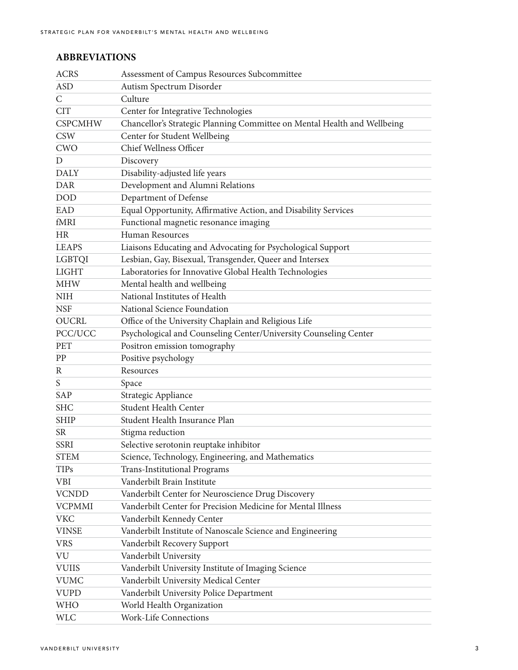## **ABBREVIATIONS**

| <b>ACRS</b>    | Assessment of Campus Resources Subcommittee                              |
|----------------|--------------------------------------------------------------------------|
| <b>ASD</b>     | Autism Spectrum Disorder                                                 |
| $\mathsf{C}$   | Culture                                                                  |
| <b>CIT</b>     | Center for Integrative Technologies                                      |
| <b>CSPCMHW</b> | Chancellor's Strategic Planning Committee on Mental Health and Wellbeing |
| <b>CSW</b>     | Center for Student Wellbeing                                             |
| <b>CWO</b>     | Chief Wellness Officer                                                   |
| D              | Discovery                                                                |
| <b>DALY</b>    | Disability-adjusted life years                                           |
| <b>DAR</b>     | Development and Alumni Relations                                         |
| <b>DOD</b>     | Department of Defense                                                    |
| EAD            | Equal Opportunity, Affirmative Action, and Disability Services           |
| fMRI           | Functional magnetic resonance imaging                                    |
| <b>HR</b>      | Human Resources                                                          |
| <b>LEAPS</b>   | Liaisons Educating and Advocating for Psychological Support              |
| <b>LGBTQI</b>  | Lesbian, Gay, Bisexual, Transgender, Queer and Intersex                  |
| <b>LIGHT</b>   | Laboratories for Innovative Global Health Technologies                   |
| <b>MHW</b>     | Mental health and wellbeing                                              |
| <b>NIH</b>     | National Institutes of Health                                            |
| <b>NSF</b>     | National Science Foundation                                              |
| <b>OUCRL</b>   | Office of the University Chaplain and Religious Life                     |
| PCC/UCC        | Psychological and Counseling Center/University Counseling Center         |
| <b>PET</b>     | Positron emission tomography                                             |
| PP             | Positive psychology                                                      |
| R              | Resources                                                                |
| S              | Space                                                                    |
| SAP            | Strategic Appliance                                                      |
| <b>SHC</b>     | Student Health Center                                                    |
| <b>SHIP</b>    | Student Health Insurance Plan                                            |
| <b>SR</b>      | Stigma reduction                                                         |
| <b>SSRI</b>    | Selective serotonin reuptake inhibitor                                   |
| <b>STEM</b>    | Science, Technology, Engineering, and Mathematics                        |
| <b>TIPs</b>    | <b>Trans-Institutional Programs</b>                                      |
| <b>VBI</b>     | Vanderbilt Brain Institute                                               |
| <b>VCNDD</b>   | Vanderbilt Center for Neuroscience Drug Discovery                        |
| <b>VCPMMI</b>  | Vanderbilt Center for Precision Medicine for Mental Illness              |
| <b>VKC</b>     | Vanderbilt Kennedy Center                                                |
| <b>VINSE</b>   | Vanderbilt Institute of Nanoscale Science and Engineering                |
| <b>VRS</b>     | Vanderbilt Recovery Support                                              |
| VU             | Vanderbilt University                                                    |
| <b>VUIIS</b>   | Vanderbilt University Institute of Imaging Science                       |
| <b>VUMC</b>    | Vanderbilt University Medical Center                                     |
| <b>VUPD</b>    | Vanderbilt University Police Department                                  |
| <b>WHO</b>     | World Health Organization                                                |
| <b>WLC</b>     | Work-Life Connections                                                    |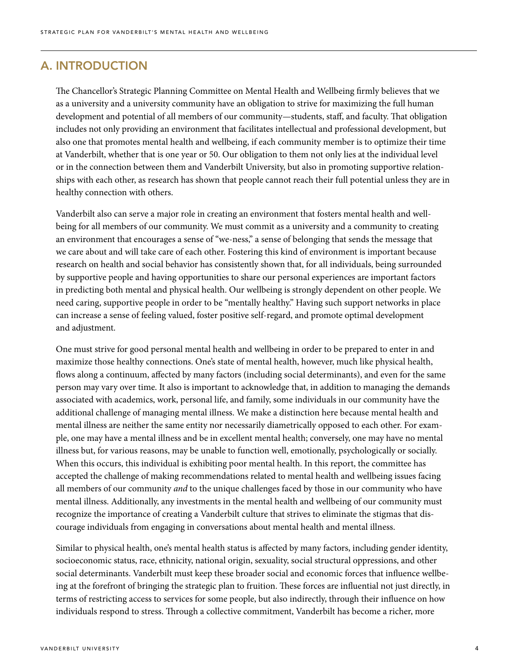## A. INTRODUCTION

The Chancellor's Strategic Planning Committee on Mental Health and Wellbeing firmly believes that we as a university and a university community have an obligation to strive for maximizing the full human development and potential of all members of our community—students, staff, and faculty. That obligation includes not only providing an environment that facilitates intellectual and professional development, but also one that promotes mental health and wellbeing, if each community member is to optimize their time at Vanderbilt, whether that is one year or 50. Our obligation to them not only lies at the individual level or in the connection between them and Vanderbilt University, but also in promoting supportive relationships with each other, as research has shown that people cannot reach their full potential unless they are in healthy connection with others.

Vanderbilt also can serve a major role in creating an environment that fosters mental health and wellbeing for all members of our community. We must commit as a university and a community to creating an environment that encourages a sense of "we-ness," a sense of belonging that sends the message that we care about and will take care of each other. Fostering this kind of environment is important because research on health and social behavior has consistently shown that, for all individuals, being surrounded by supportive people and having opportunities to share our personal experiences are important factors in predicting both mental and physical health. Our wellbeing is strongly dependent on other people. We need caring, supportive people in order to be "mentally healthy." Having such support networks in place can increase a sense of feeling valued, foster positive self-regard, and promote optimal development and adjustment.

One must strive for good personal mental health and wellbeing in order to be prepared to enter in and maximize those healthy connections. One's state of mental health, however, much like physical health, flows along a continuum, affected by many factors (including social determinants), and even for the same person may vary over time. It also is important to acknowledge that, in addition to managing the demands associated with academics, work, personal life, and family, some individuals in our community have the additional challenge of managing mental illness. We make a distinction here because mental health and mental illness are neither the same entity nor necessarily diametrically opposed to each other. For example, one may have a mental illness and be in excellent mental health; conversely, one may have no mental illness but, for various reasons, may be unable to function well, emotionally, psychologically or socially. When this occurs, this individual is exhibiting poor mental health. In this report, the committee has accepted the challenge of making recommendations related to mental health and wellbeing issues facing all members of our community *and* to the unique challenges faced by those in our community who have mental illness. Additionally, any investments in the mental health and wellbeing of our community must recognize the importance of creating a Vanderbilt culture that strives to eliminate the stigmas that discourage individuals from engaging in conversations about mental health and mental illness.

Similar to physical health, one's mental health status is affected by many factors, including gender identity, socioeconomic status, race, ethnicity, national origin, sexuality, social structural oppressions, and other social determinants. Vanderbilt must keep these broader social and economic forces that influence wellbeing at the forefront of bringing the strategic plan to fruition. These forces are influential not just directly, in terms of restricting access to services for some people, but also indirectly, through their influence on how individuals respond to stress. Through a collective commitment, Vanderbilt has become a richer, more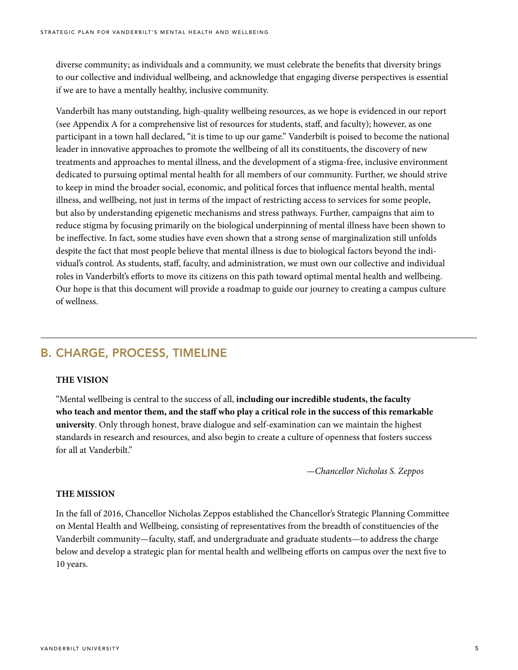diverse community; as individuals and a community, we must celebrate the benefits that diversity brings to our collective and individual wellbeing, and acknowledge that engaging diverse perspectives is essential if we are to have a mentally healthy, inclusive community.

Vanderbilt has many outstanding, high-quality wellbeing resources, as we hope is evidenced in our report (see Appendix A for a comprehensive list of resources for students, staff, and faculty); however, as one participant in a town hall declared, "it is time to up our game." Vanderbilt is poised to become the national leader in innovative approaches to promote the wellbeing of all its constituents, the discovery of new treatments and approaches to mental illness, and the development of a stigma-free, inclusive environment dedicated to pursuing optimal mental health for all members of our community. Further, we should strive to keep in mind the broader social, economic, and political forces that influence mental health, mental illness, and wellbeing, not just in terms of the impact of restricting access to services for some people, but also by understanding epigenetic mechanisms and stress pathways. Further, campaigns that aim to reduce stigma by focusing primarily on the biological underpinning of mental illness have been shown to be ineffective. In fact, some studies have even shown that a strong sense of marginalization still unfolds despite the fact that most people believe that mental illness is due to biological factors beyond the individual's control. As students, staff, faculty, and administration, we must own our collective and individual roles in Vanderbilt's efforts to move its citizens on this path toward optimal mental health and wellbeing. Our hope is that this document will provide a roadmap to guide our journey to creating a campus culture of wellness.

# B. CHARGE, PROCESS, TIMELINE

#### **THE VISION**

"Mental wellbeing is central to the success of all, **including our incredible students, the faculty who teach and mentor them, and the staff who play a critical role in the success of this remarkable university**. Only through honest, brave dialogue and self-examination can we maintain the highest standards in research and resources, and also begin to create a culture of openness that fosters success for all at Vanderbilt."

*—Chancellor Nicholas S. Zeppos*

#### **THE MISSION**

In the fall of 2016, Chancellor Nicholas Zeppos established the Chancellor's Strategic Planning Committee on Mental Health and Wellbeing, consisting of representatives from the breadth of constituencies of the Vanderbilt community—faculty, staff, and undergraduate and graduate students—to address the charge below and develop a strategic plan for mental health and wellbeing efforts on campus over the next five to 10 years.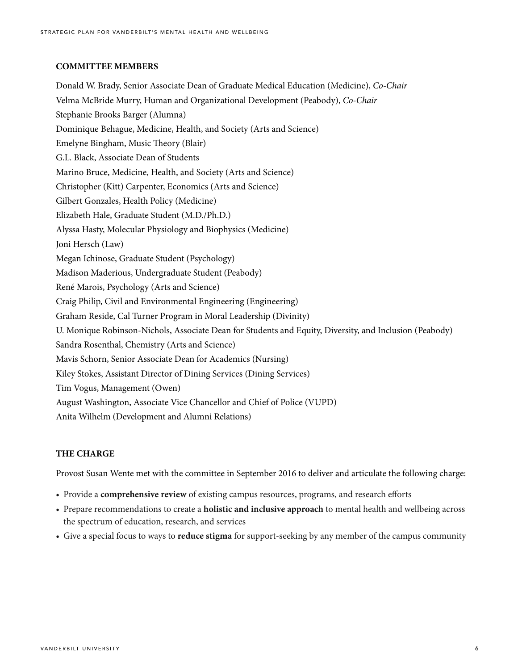#### **COMMITTEE MEMBERS**

Donald W. Brady, Senior Associate Dean of Graduate Medical Education (Medicine), *Co-Chair*  Velma McBride Murry, Human and Organizational Development (Peabody), *Co-Chair*  Stephanie Brooks Barger (Alumna) Dominique Behague, Medicine, Health, and Society (Arts and Science) Emelyne Bingham, Music Theory (Blair) G.L. Black, Associate Dean of Students Marino Bruce, Medicine, Health, and Society (Arts and Science) Christopher (Kitt) Carpenter, Economics (Arts and Science) Gilbert Gonzales, Health Policy (Medicine) Elizabeth Hale, Graduate Student (M.D./Ph.D.) Alyssa Hasty, Molecular Physiology and Biophysics (Medicine) Joni Hersch (Law) Megan Ichinose, Graduate Student (Psychology) Madison Maderious, Undergraduate Student (Peabody) René Marois, Psychology (Arts and Science) Craig Philip, Civil and Environmental Engineering (Engineering) Graham Reside, Cal Turner Program in Moral Leadership (Divinity) U. Monique Robinson-Nichols, Associate Dean for Students and Equity, Diversity, and Inclusion (Peabody) Sandra Rosenthal, Chemistry (Arts and Science) Mavis Schorn, Senior Associate Dean for Academics (Nursing) Kiley Stokes, Assistant Director of Dining Services (Dining Services) Tim Vogus, Management (Owen) August Washington, Associate Vice Chancellor and Chief of Police (VUPD) Anita Wilhelm (Development and Alumni Relations)

#### **THE CHARGE**

Provost Susan Wente met with the committee in September 2016 to deliver and articulate the following charge:

- Provide a **comprehensive review** of existing campus resources, programs, and research efforts
- Prepare recommendations to create a **holistic and inclusive approach** to mental health and wellbeing across the spectrum of education, research, and services
- Give a special focus to ways to **reduce stigma** for support-seeking by any member of the campus community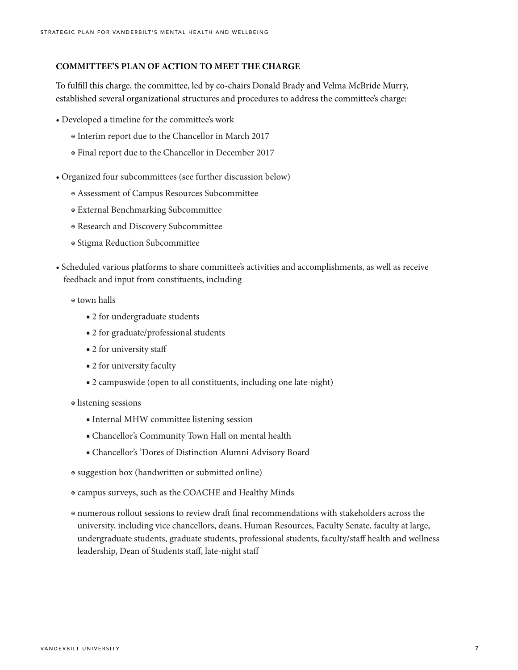#### **COMMITTEE'S PLAN OF ACTION TO MEET THE CHARGE**

To fulfill this charge, the committee, led by co-chairs Donald Brady and Velma McBride Murry, established several organizational structures and procedures to address the committee's charge:

- Developed a timeline for the committee's work
	- ◉ Interim report due to the Chancellor in March 2017
	- ◉ Final report due to the Chancellor in December 2017
- Organized four subcommittees (see further discussion below)
	- ◉ Assessment of Campus Resources Subcommittee
	- ◉ External Benchmarking Subcommittee
	- ◉ Research and Discovery Subcommittee
	- ◉ Stigma Reduction Subcommittee
- Scheduled various platforms to share committee's activities and accomplishments, as well as receive feedback and input from constituents, including
	- ◉ town halls
		- 2 for undergraduate students
		- 2 for graduate/professional students
		- 2 for university staff
		- 2 for university faculty
		- 2 campuswide (open to all constituents, including one late-night)
	- ◉ listening sessions
		- Internal MHW committee listening session
		- Chancellor's Community Town Hall on mental health
		- Chancellor's 'Dores of Distinction Alumni Advisory Board
	- ◉ suggestion box (handwritten or submitted online)
	- ◉ campus surveys, such as the COACHE and Healthy Minds
	- ◉ numerous rollout sessions to review draft final recommendations with stakeholders across the university, including vice chancellors, deans, Human Resources, Faculty Senate, faculty at large, undergraduate students, graduate students, professional students, faculty/staff health and wellness leadership, Dean of Students staff, late-night staff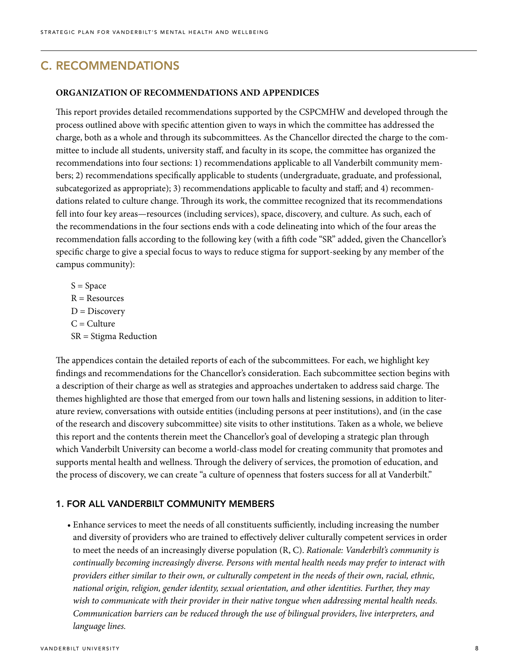# C. RECOMMENDATIONS

#### **ORGANIZATION OF RECOMMENDATIONS AND APPENDICES**

This report provides detailed recommendations supported by the CSPCMHW and developed through the process outlined above with specific attention given to ways in which the committee has addressed the charge, both as a whole and through its subcommittees. As the Chancellor directed the charge to the committee to include all students, university staff, and faculty in its scope, the committee has organized the recommendations into four sections: 1) recommendations applicable to all Vanderbilt community members; 2) recommendations specifically applicable to students (undergraduate, graduate, and professional, subcategorized as appropriate); 3) recommendations applicable to faculty and staff; and 4) recommendations related to culture change. Through its work, the committee recognized that its recommendations fell into four key areas—resources (including services), space, discovery, and culture. As such, each of the recommendations in the four sections ends with a code delineating into which of the four areas the recommendation falls according to the following key (with a fifth code "SR" added, given the Chancellor's specific charge to give a special focus to ways to reduce stigma for support-seeking by any member of the campus community):

 $S = Space$  $R =$  Resources  $D = *Discovery*$  $C =$  Culture SR = Stigma Reduction

The appendices contain the detailed reports of each of the subcommittees. For each, we highlight key findings and recommendations for the Chancellor's consideration. Each subcommittee section begins with a description of their charge as well as strategies and approaches undertaken to address said charge. The themes highlighted are those that emerged from our town halls and listening sessions, in addition to literature review, conversations with outside entities (including persons at peer institutions), and (in the case of the research and discovery subcommittee) site visits to other institutions. Taken as a whole, we believe this report and the contents therein meet the Chancellor's goal of developing a strategic plan through which Vanderbilt University can become a world-class model for creating community that promotes and supports mental health and wellness. Through the delivery of services, the promotion of education, and the process of discovery, we can create "a culture of openness that fosters success for all at Vanderbilt."

#### 1. FOR ALL VANDERBILT COMMUNITY MEMBERS

• Enhance services to meet the needs of all constituents sufficiently, including increasing the number and diversity of providers who are trained to effectively deliver culturally competent services in order to meet the needs of an increasingly diverse population (R, C). *Rationale: Vanderbilt's community is continually becoming increasingly diverse. Persons with mental health needs may prefer to interact with providers either similar to their own, or culturally competent in the needs of their own, racial, ethnic, national origin, religion, gender identity, sexual orientation, and other identities. Further, they may wish to communicate with their provider in their native tongue when addressing mental health needs. Communication barriers can be reduced through the use of bilingual providers, live interpreters, and language lines.*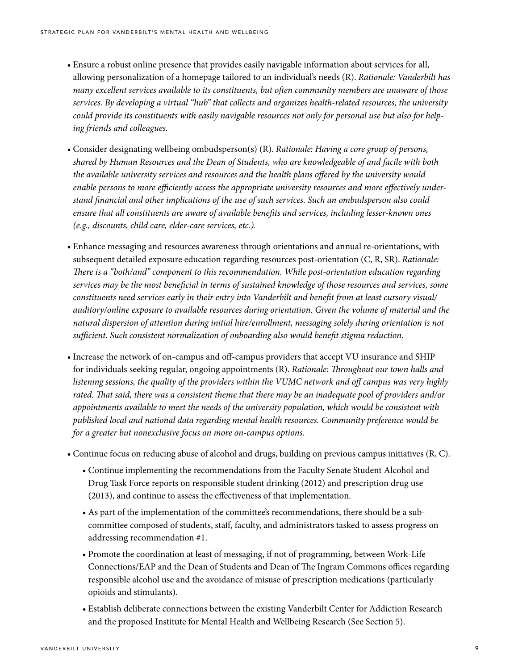- Ensure a robust online presence that provides easily navigable information about services for all, allowing personalization of a homepage tailored to an individual's needs (R). *Rationale: Vanderbilt has many excellent services available to its constituents, but often community members are unaware of those services. By developing a virtual "hub" that collects and organizes health-related resources, the university could provide its constituents with easily navigable resources not only for personal use but also for helping friends and colleagues.*
- Consider designating wellbeing ombudsperson(s) (R). *Rationale: Having a core group of persons, shared by Human Resources and the Dean of Students, who are knowledgeable of and facile with both the available university services and resources and the health plans offered by the university would enable persons to more efficiently access the appropriate university resources and more effectively understand financial and other implications of the use of such services. Such an ombudsperson also could ensure that all constituents are aware of available benefits and services, including lesser-known ones (e.g., discounts, child care, elder-care services, etc.).*
- Enhance messaging and resources awareness through orientations and annual re-orientations, with subsequent detailed exposure education regarding resources post-orientation (C, R, SR). *Rationale: There is a "both/and" component to this recommendation. While post-orientation education regarding services may be the most beneficial in terms of sustained knowledge of those resources and services, some constituents need services early in their entry into Vanderbilt and benefit from at least cursory visual/ auditory/online exposure to available resources during orientation. Given the volume of material and the natural dispersion of attention during initial hire/enrollment, messaging solely during orientation is not sufficient. Such consistent normalization of onboarding also would benefit stigma reduction*.
- Increase the network of on-campus and off-campus providers that accept VU insurance and SHIP for individuals seeking regular, ongoing appointments (R). *Rationale: Throughout our town halls and listening sessions, the quality of the providers within the VUMC network and off campus was very highly rated. That said, there was a consistent theme that there may be an inadequate pool of providers and/or appointments available to meet the needs of the university population, which would be consistent with published local and national data regarding mental health resources. Community preference would be for a greater but nonexclusive focus on more on-campus options.*
- Continue focus on reducing abuse of alcohol and drugs, building on previous campus initiatives (R, C).
	- Continue implementing the recommendations from the Faculty Senate Student Alcohol and Drug Task Force reports on responsible student drinking (2012) and prescription drug use (2013), and continue to assess the effectiveness of that implementation.
	- As part of the implementation of the committee's recommendations, there should be a subcommittee composed of students, staff, faculty, and administrators tasked to assess progress on addressing recommendation #1.
	- Promote the coordination at least of messaging, if not of programming, between Work-Life Connections/EAP and the Dean of Students and Dean of The Ingram Commons offices regarding responsible alcohol use and the avoidance of misuse of prescription medications (particularly opioids and stimulants).
	- Establish deliberate connections between the existing Vanderbilt Center for Addiction Research and the proposed Institute for Mental Health and Wellbeing Research (See Section 5).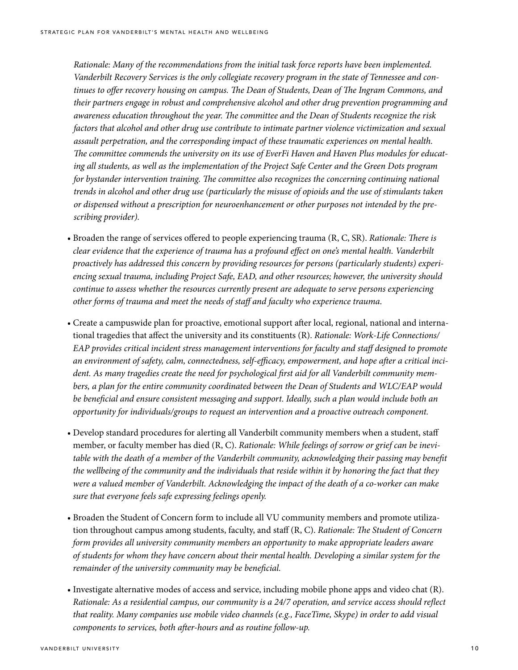*Rationale: Many of the recommendations from the initial task force reports have been implemented. Vanderbilt Recovery Services is the only collegiate recovery program in the state of Tennessee and continues to offer recovery housing on campus. The Dean of Students, Dean of The Ingram Commons, and their partners engage in robust and comprehensive alcohol and other drug prevention programming and awareness education throughout the year. The committee and the Dean of Students recognize the risk factors that alcohol and other drug use contribute to intimate partner violence victimization and sexual assault perpetration, and the corresponding impact of these traumatic experiences on mental health. The committee commends the university on its use of EverFi Haven and Haven Plus modules for educating all students, as well as the implementation of the Project Safe Center and the Green Dots program for bystander intervention training. The committee also recognizes the concerning continuing national trends in alcohol and other drug use (particularly the misuse of opioids and the use of stimulants taken or dispensed without a prescription for neuroenhancement or other purposes not intended by the prescribing provider).*

- Broaden the range of services offered to people experiencing trauma (R, C, SR). *Rationale: There is clear evidence that the experience of trauma has a profound effect on one's mental health. Vanderbilt proactively has addressed this concern by providing resources for persons (particularly students) experiencing sexual trauma, including Project Safe, EAD, and other resources; however, the university should continue to assess whether the resources currently present are adequate to serve persons experiencing other forms of trauma and meet the needs of staff and faculty who experience trauma*.
- Create a campuswide plan for proactive, emotional support after local, regional, national and international tragedies that affect the university and its constituents (R). *Rationale: Work-Life Connections/ EAP provides critical incident stress management interventions for faculty and staff designed to promote an environment of safety, calm, connectedness, self-efficacy, empowerment, and hope after a critical incident. As many tragedies create the need for psychological first aid for all Vanderbilt community members, a plan for the entire community coordinated between the Dean of Students and WLC/EAP would be beneficial and ensure consistent messaging and support. Ideally, such a plan would include both an opportunity for individuals/groups to request an intervention and a proactive outreach component.*
- Develop standard procedures for alerting all Vanderbilt community members when a student, staff member, or faculty member has died (R, C). *Rationale: While feelings of sorrow or grief can be inevitable with the death of a member of the Vanderbilt community, acknowledging their passing may benefit the wellbeing of the community and the individuals that reside within it by honoring the fact that they were a valued member of Vanderbilt. Acknowledging the impact of the death of a co-worker can make sure that everyone feels safe expressing feelings openly.*
- Broaden the Student of Concern form to include all VU community members and promote utilization throughout campus among students, faculty, and staff (R, C). *Rationale: The Student of Concern form provides all university community members an opportunity to make appropriate leaders aware of students for whom they have concern about their mental health. Developing a similar system for the remainder of the university community may be beneficial.*
- Investigate alternative modes of access and service, including mobile phone apps and video chat (R). *Rationale: As a residential campus, our community is a 24/7 operation, and service access should reflect that reality. Many companies use mobile video channels (e.g., FaceTime, Skype) in order to add visual components to services, both after-hours and as routine follow-up.*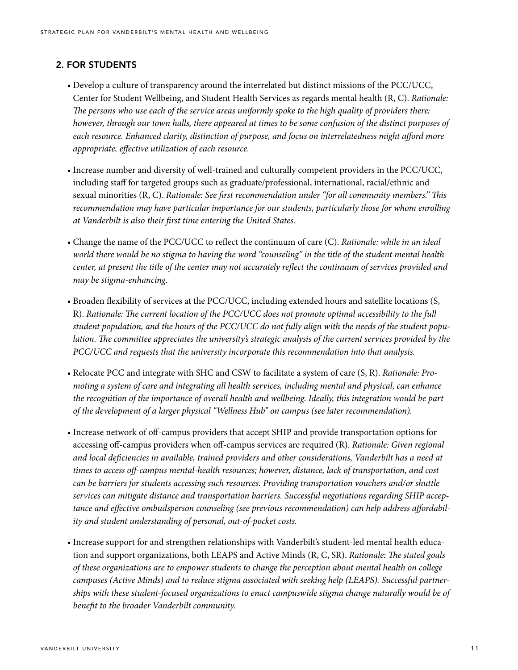## 2. FOR STUDENTS

- Develop a culture of transparency around the interrelated but distinct missions of the PCC/UCC, Center for Student Wellbeing, and Student Health Services as regards mental health (R, C). *Rationale: The persons who use each of the service areas uniformly spoke to the high quality of providers there; however, through our town halls, there appeared at times to be some confusion of the distinct purposes of each resource. Enhanced clarity, distinction of purpose, and focus on interrelatedness might afford more appropriate, effective utilization of each resource.*
- Increase number and diversity of well-trained and culturally competent providers in the PCC/UCC, including staff for targeted groups such as graduate/professional, international, racial/ethnic and sexual minorities (R, C). *Rationale: See first recommendation under "for all community members." This recommendation may have particular importance for our students, particularly those for whom enrolling at Vanderbilt is also their first time entering the United States.*
- Change the name of the PCC/UCC to reflect the continuum of care (C). *Rationale: while in an ideal world there would be no stigma to having the word "counseling" in the title of the student mental health center, at present the title of the center may not accurately reflect the continuum of services provided and may be stigma-enhancing*.
- Broaden flexibility of services at the PCC/UCC, including extended hours and satellite locations (S, R). *Rationale: The current location of the PCC/UCC does not promote optimal accessibility to the full student population, and the hours of the PCC/UCC do not fully align with the needs of the student population. The committee appreciates the university's strategic analysis of the current services provided by the PCC/UCC and requests that the university incorporate this recommendation into that analysis.*
- Relocate PCC and integrate with SHC and CSW to facilitate a system of care (S, R). *Rationale: Promoting a system of care and integrating all health services, including mental and physical, can enhance the recognition of the importance of overall health and wellbeing. Ideally, this integration would be part of the development of a larger physical "Wellness Hub" on campus (see later recommendation).*
- Increase network of off-campus providers that accept SHIP and provide transportation options for accessing off-campus providers when off-campus services are required (R). *Rationale: Given regional and local deficiencies in available, trained providers and other considerations, Vanderbilt has a need at times to access off-campus mental-health resources; however, distance, lack of transportation, and cost can be barriers for students accessing such resources. Providing transportation vouchers and/or shuttle services can mitigate distance and transportation barriers. Successful negotiations regarding SHIP acceptance and effective ombudsperson counseling (see previous recommendation) can help address affordability and student understanding of personal, out-of-pocket costs.*
- Increase support for and strengthen relationships with Vanderbilt's student-led mental health education and support organizations, both LEAPS and Active Minds (R, C, SR). *Rationale: The stated goals of these organizations are to empower students to change the perception about mental health on college campuses (Active Minds) and to reduce stigma associated with seeking help (LEAPS). Successful partnerships with these student-focused organizations to enact campuswide stigma change naturally would be of benefit to the broader Vanderbilt community.*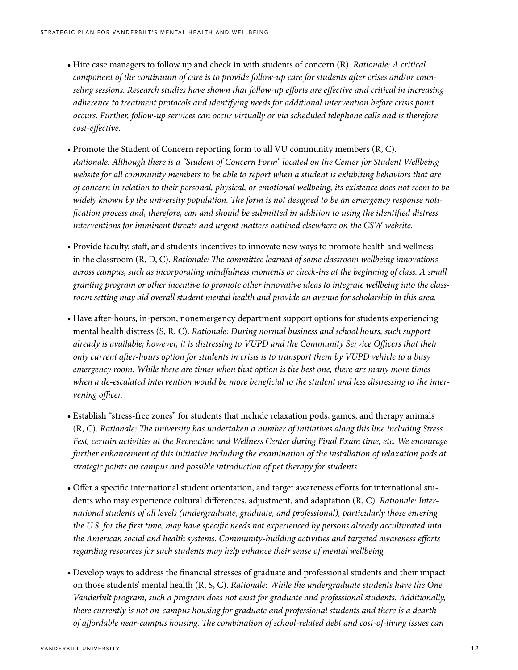- Hire case managers to follow up and check in with students of concern (R). *Rationale: A critical component of the continuum of care is to provide follow-up care for students after crises and/or counseling sessions. Research studies have shown that follow-up efforts are effective and critical in increasing adherence to treatment protocols and identifying needs for additional intervention before crisis point occurs. Further, follow-up services can occur virtually or via scheduled telephone calls and is therefore cost-effective.*
- Promote the Student of Concern reporting form to all VU community members (R, C). *Rationale: Although there is a "Student of Concern Form" located on the Center for Student Wellbeing website for all community members to be able to report when a student is exhibiting behaviors that are of concern in relation to their personal, physical, or emotional wellbeing, its existence does not seem to be widely known by the university population. The form is not designed to be an emergency response notification process and, therefore, can and should be submitted in addition to using the identified distress interventions for imminent threats and urgent matters outlined elsewhere on the CSW website.*
- Provide faculty, staff, and students incentives to innovate new ways to promote health and wellness in the classroom (R, D, C). *Rationale: The committee learned of some classroom wellbeing innovations across campus, such as incorporating mindfulness moments or check-ins at the beginning of class. A small granting program or other incentive to promote other innovative ideas to integrate wellbeing into the classroom setting may aid overall student mental health and provide an avenue for scholarship in this area.*
- Have after-hours, in-person, nonemergency department support options for students experiencing mental health distress (S, R, C). *Rationale: During normal business and school hours, such support already is available; however, it is distressing to VUPD and the Community Service Officers that their only current after-hours option for students in crisis is to transport them by VUPD vehicle to a busy emergency room. While there are times when that option is the best one, there are many more times when a de-escalated intervention would be more beneficial to the student and less distressing to the intervening officer.*
- Establish "stress-free zones" for students that include relaxation pods, games, and therapy animals (R, C). *Rationale: The university has undertaken a number of initiatives along this line including Stress Fest, certain activities at the Recreation and Wellness Center during Final Exam time, etc. We encourage further enhancement of this initiative including the examination of the installation of relaxation pods at strategic points on campus and possible introduction of pet therapy for students.*
- Offer a specific international student orientation, and target awareness efforts for international students who may experience cultural differences, adjustment, and adaptation (R, C). *Rationale: International students of all levels (undergraduate, graduate, and professional), particularly those entering the U.S. for the first time, may have specific needs not experienced by persons already acculturated into the American social and health systems. Community-building activities and targeted awareness efforts regarding resources for such students may help enhance their sense of mental wellbeing.*
- Develop ways to address the financial stresses of graduate and professional students and their impact on those students' mental health (R, S, C). *Rationale: While the undergraduate students have the One Vanderbilt program, such a program does not exist for graduate and professional students. Additionally, there currently is not on-campus housing for graduate and professional students and there is a dearth of affordable near-campus housing. The combination of school-related debt and cost-of-living issues can*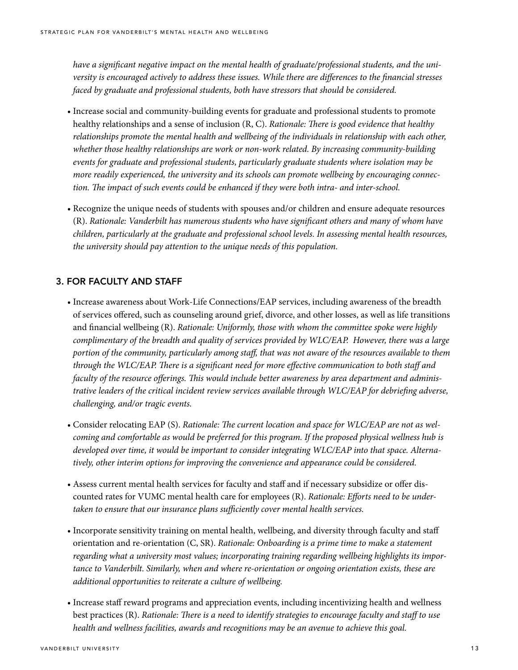*have a significant negative impact on the mental health of graduate/professional students, and the university is encouraged actively to address these issues. While there are differences to the financial stresses faced by graduate and professional students, both have stressors that should be considered.*

- Increase social and community-building events for graduate and professional students to promote healthy relationships and a sense of inclusion (R, C). *Rationale: There is good evidence that healthy relationships promote the mental health and wellbeing of the individuals in relationship with each other, whether those healthy relationships are work or non-work related. By increasing community-building events for graduate and professional students, particularly graduate students where isolation may be more readily experienced, the university and its schools can promote wellbeing by encouraging connection. The impact of such events could be enhanced if they were both intra- and inter-school.*
- Recognize the unique needs of students with spouses and/or children and ensure adequate resources (R). *Rationale: Vanderbilt has numerous students who have significant others and many of whom have children, particularly at the graduate and professional school levels. In assessing mental health resources, the university should pay attention to the unique needs of this population.*

### 3. FOR FACULTY AND STAFF

- Increase awareness about Work-Life Connections/EAP services, including awareness of the breadth of services offered, such as counseling around grief, divorce, and other losses, as well as life transitions and financial wellbeing (R). *Rationale: Uniformly, those with whom the committee spoke were highly complimentary of the breadth and quality of services provided by WLC/EAP. However, there was a large portion of the community, particularly among staff, that was not aware of the resources available to them through the WLC/EAP. There is a significant need for more effective communication to both staff and faculty of the resource offerings. This would include better awareness by area department and administrative leaders of the critical incident review services available through WLC/EAP for debriefing adverse, challenging, and/or tragic events.*
- Consider relocating EAP (S). *Rationale: The current location and space for WLC/EAP are not as welcoming and comfortable as would be preferred for this program. If the proposed physical wellness hub is developed over time, it would be important to consider integrating WLC/EAP into that space. Alternatively, other interim options for improving the convenience and appearance could be considered.*
- Assess current mental health services for faculty and staff and if necessary subsidize or offer discounted rates for VUMC mental health care for employees (R). *Rationale: Efforts need to be undertaken to ensure that our insurance plans sufficiently cover mental health services.*
- Incorporate sensitivity training on mental health, wellbeing, and diversity through faculty and staff orientation and re-orientation (C, SR). *Rationale: Onboarding is a prime time to make a statement regarding what a university most values; incorporating training regarding wellbeing highlights its importance to Vanderbilt. Similarly, when and where re-orientation or ongoing orientation exists, these are additional opportunities to reiterate a culture of wellbeing.*
- Increase staff reward programs and appreciation events, including incentivizing health and wellness best practices (R). *Rationale: There is a need to identify strategies to encourage faculty and staff to use health and wellness facilities, awards and recognitions may be an avenue to achieve this goal.*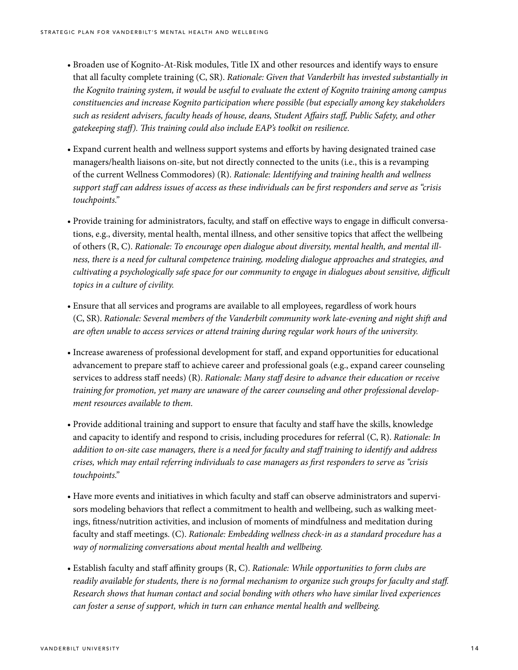- Broaden use of Kognito-At-Risk modules, Title IX and other resources and identify ways to ensure that all faculty complete training (C, SR). *Rationale: Given that Vanderbilt has invested substantially in the Kognito training system, it would be useful to evaluate the extent of Kognito training among campus constituencies and increase Kognito participation where possible (but especially among key stakeholders such as resident advisers, faculty heads of house, deans, Student Affairs staff, Public Safety, and other gatekeeping staff). This training could also include EAP's toolkit on resilience.*
- Expand current health and wellness support systems and efforts by having designated trained case managers/health liaisons on-site, but not directly connected to the units (i.e., this is a revamping of the current Wellness Commodores) (R). *Rationale: Identifying and training health and wellness support staff can address issues of access as these individuals can be first responders and serve as "crisis touchpoints."*
- Provide training for administrators, faculty, and staff on effective ways to engage in difficult conversations, e.g., diversity, mental health, mental illness, and other sensitive topics that affect the wellbeing of others (R, C). *Rationale: To encourage open dialogue about diversity, mental health, and mental illness, there is a need for cultural competence training, modeling dialogue approaches and strategies, and cultivating a psychologically safe space for our community to engage in dialogues about sensitive, difficult topics in a culture of civility.*
- Ensure that all services and programs are available to all employees, regardless of work hours (C, SR). *Rationale: Several members of the Vanderbilt community work late-evening and night shift and are often unable to access services or attend training during regular work hours of the university.*
- Increase awareness of professional development for staff, and expand opportunities for educational advancement to prepare staff to achieve career and professional goals (e.g., expand career counseling services to address staff needs) (R). *Rationale: Many staff desire to advance their education or receive training for promotion, yet many are unaware of the career counseling and other professional development resources available to them.*
- Provide additional training and support to ensure that faculty and staff have the skills, knowledge and capacity to identify and respond to crisis, including procedures for referral (C, R). *Rationale: In addition to on-site case managers, there is a need for faculty and staff training to identify and address crises, which may entail referring individuals to case managers as first responders to serve as "crisis touchpoints."*
- Have more events and initiatives in which faculty and staff can observe administrators and supervisors modeling behaviors that reflect a commitment to health and wellbeing, such as walking meetings, fitness/nutrition activities, and inclusion of moments of mindfulness and meditation during faculty and staff meetings. (C). *Rationale: Embedding wellness check-in as a standard procedure has a way of normalizing conversations about mental health and wellbeing.*
- Establish faculty and staff affinity groups (R, C). *Rationale: While opportunities to form clubs are readily available for students, there is no formal mechanism to organize such groups for faculty and staff. Research shows that human contact and social bonding with others who have similar lived experiences can foster a sense of support, which in turn can enhance mental health and wellbeing.*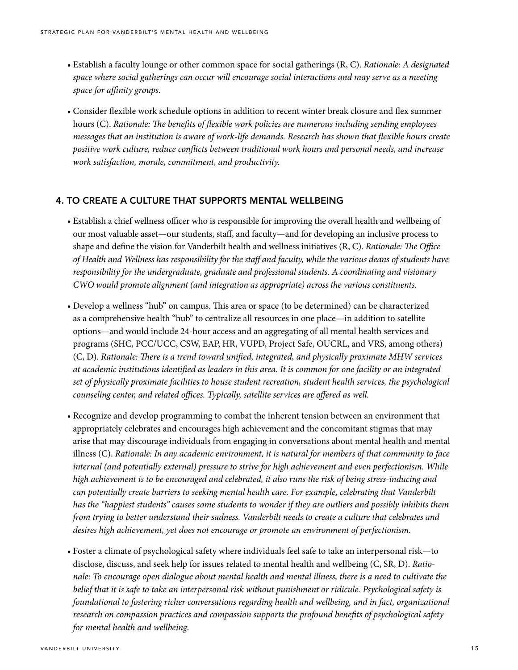- Establish a faculty lounge or other common space for social gatherings (R, C). *Rationale: A designated space where social gatherings can occur will encourage social interactions and may serve as a meeting space for affinity groups.*
- Consider flexible work schedule options in addition to recent winter break closure and flex summer hours (C). *Rationale: The benefits of flexible work policies are numerous including sending employees messages that an institution is aware of work-life demands. Research has shown that flexible hours create positive work culture, reduce conflicts between traditional work hours and personal needs, and increase work satisfaction, morale, commitment, and productivity.*

#### 4. TO CREATE A CULTURE THAT SUPPORTS MENTAL WELLBEING

- Establish a chief wellness officer who is responsible for improving the overall health and wellbeing of our most valuable asset—our students, staff, and faculty—and for developing an inclusive process to shape and define the vision for Vanderbilt health and wellness initiatives (R, C). *Rationale: The Office of Health and Wellness has responsibility for the staff and faculty, while the various deans of students have responsibility for the undergraduate, graduate and professional students. A coordinating and visionary CWO would promote alignment (and integration as appropriate) across the various constituents.*
- Develop a wellness "hub" on campus. This area or space (to be determined) can be characterized as a comprehensive health "hub" to centralize all resources in one place—in addition to satellite options—and would include 24-hour access and an aggregating of all mental health services and programs (SHC, PCC/UCC, CSW, EAP, HR, VUPD, Project Safe, OUCRL, and VRS, among others) (C, D). *Rationale: There is a trend toward unified, integrated, and physically proximate MHW services at academic institutions identified as leaders in this area. It is common for one facility or an integrated set of physically proximate facilities to house student recreation, student health services, the psychological counseling center, and related offices. Typically, satellite services are offered as well.*
- Recognize and develop programming to combat the inherent tension between an environment that appropriately celebrates and encourages high achievement and the concomitant stigmas that may arise that may discourage individuals from engaging in conversations about mental health and mental illness (C). *Rationale: In any academic environment, it is natural for members of that community to face internal (and potentially external) pressure to strive for high achievement and even perfectionism. While high achievement is to be encouraged and celebrated, it also runs the risk of being stress-inducing and can potentially create barriers to seeking mental health care. For example, celebrating that Vanderbilt has the "happiest students" causes some students to wonder if they are outliers and possibly inhibits them from trying to better understand their sadness. Vanderbilt needs to create a culture that celebrates and desires high achievement, yet does not encourage or promote an environment of perfectionism.*
- Foster a climate of psychological safety where individuals feel safe to take an interpersonal risk—to disclose, discuss, and seek help for issues related to mental health and wellbeing (C, SR, D). *Rationale: To encourage open dialogue about mental health and mental illness, there is a need to cultivate the belief that it is safe to take an interpersonal risk without punishment or ridicule. Psychological safety is foundational to fostering richer conversations regarding health and wellbeing, and in fact, organizational research on compassion practices and compassion supports the profound benefits of psychological safety for mental health and wellbeing*.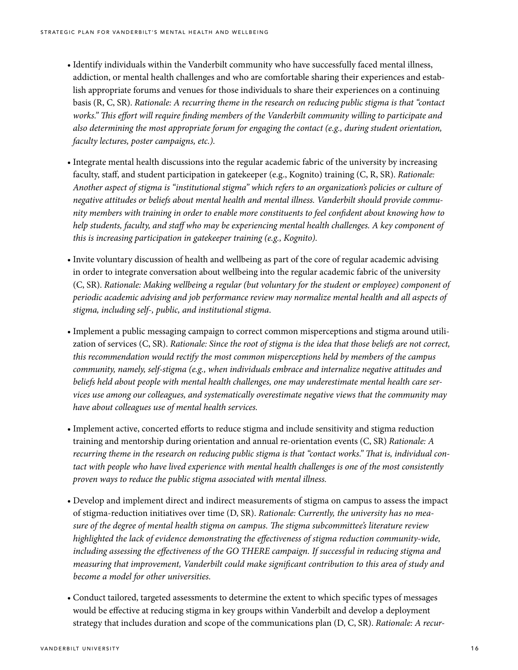- Identify individuals within the Vanderbilt community who have successfully faced mental illness, addiction, or mental health challenges and who are comfortable sharing their experiences and establish appropriate forums and venues for those individuals to share their experiences on a continuing basis (R, C, SR). *Rationale: A recurring theme in the research on reducing public stigma is that "contact works." This effort will require finding members of the Vanderbilt community willing to participate and also determining the most appropriate forum for engaging the contact (e.g., during student orientation, faculty lectures, poster campaigns, etc.).*
- Integrate mental health discussions into the regular academic fabric of the university by increasing faculty, staff, and student participation in gatekeeper (e.g., Kognito) training (C, R, SR). *Rationale: Another aspect of stigma is "institutional stigma" which refers to an organization's policies or culture of negative attitudes or beliefs about mental health and mental illness. Vanderbilt should provide community members with training in order to enable more constituents to feel confident about knowing how to help students, faculty, and staff who may be experiencing mental health challenges. A key component of this is increasing participation in gatekeeper training (e.g., Kognito).*
- Invite voluntary discussion of health and wellbeing as part of the core of regular academic advising in order to integrate conversation about wellbeing into the regular academic fabric of the university (C, SR). *Rationale: Making wellbeing a regular (but voluntary for the student or employee) component of periodic academic advising and job performance review may normalize mental health and all aspects of stigma, including self-, public, and institutional stigma*.
- Implement a public messaging campaign to correct common misperceptions and stigma around utilization of services (C, SR). *Rationale: Since the root of stigma is the idea that those beliefs are not correct, this recommendation would rectify the most common misperceptions held by members of the campus community, namely, self-stigma (e.g., when individuals embrace and internalize negative attitudes and beliefs held about people with mental health challenges, one may underestimate mental health care services use among our colleagues, and systematically overestimate negative views that the community may have about colleagues use of mental health services.*
- Implement active, concerted efforts to reduce stigma and include sensitivity and stigma reduction training and mentorship during orientation and annual re-orientation events (C, SR) *Rationale: A recurring theme in the research on reducing public stigma is that "contact works." That is, individual contact with people who have lived experience with mental health challenges is one of the most consistently proven ways to reduce the public stigma associated with mental illness.*
- Develop and implement direct and indirect measurements of stigma on campus to assess the impact of stigma-reduction initiatives over time (D, SR). *Rationale: Currently, the university has no measure of the degree of mental health stigma on campus. The stigma subcommittee's literature review highlighted the lack of evidence demonstrating the effectiveness of stigma reduction community-wide, including assessing the effectiveness of the GO THERE campaign. If successful in reducing stigma and measuring that improvement, Vanderbilt could make significant contribution to this area of study and become a model for other universities.*
- Conduct tailored, targeted assessments to determine the extent to which specific types of messages would be effective at reducing stigma in key groups within Vanderbilt and develop a deployment strategy that includes duration and scope of the communications plan (D, C, SR). *Rationale: A recur-*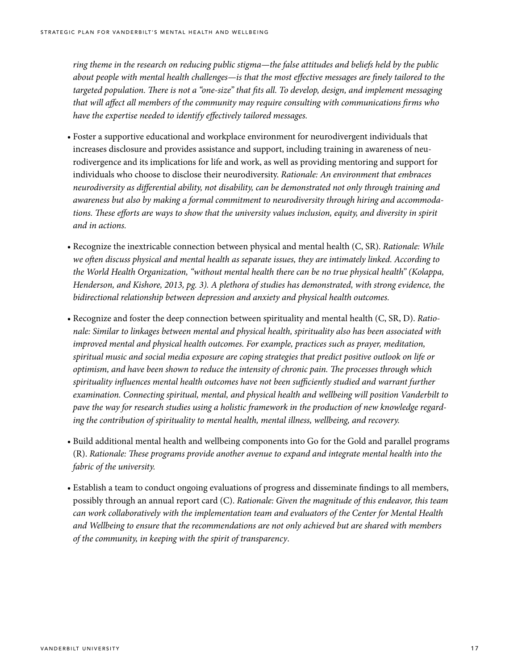*ring theme in the research on reducing public stigma—the false attitudes and beliefs held by the public about people with mental health challenges—is that the most effective messages are finely tailored to the targeted population. There is not a "one-size" that fits all. To develop, design, and implement messaging that will affect all members of the community may require consulting with communications firms who have the expertise needed to identify effectively tailored messages.*

- Foster a supportive educational and workplace environment for neurodivergent individuals that increases disclosure and provides assistance and support, including training in awareness of neurodivergence and its implications for life and work, as well as providing mentoring and support for individuals who choose to disclose their neurodiversity. *Rationale: An environment that embraces neurodiversity as differential ability, not disability, can be demonstrated not only through training and awareness but also by making a formal commitment to neurodiversity through hiring and accommodations. These efforts are ways to show that the university values inclusion, equity, and diversity in spirit and in actions.*
- Recognize the inextricable connection between physical and mental health (C, SR). *Rationale: While we often discuss physical and mental health as separate issues, they are intimately linked. According to the World Health Organization, "without mental health there can be no true physical health" (Kolappa, Henderson, and Kishore, 2013, pg. 3). A plethora of studies has demonstrated, with strong evidence, the bidirectional relationship between depression and anxiety and physical health outcomes.*
- Recognize and foster the deep connection between spirituality and mental health (C, SR, D). *Rationale: Similar to linkages between mental and physical health, spirituality also has been associated with improved mental and physical health outcomes. For example, practices such as prayer, meditation, spiritual music and social media exposure are coping strategies that predict positive outlook on life or optimism, and have been shown to reduce the intensity of chronic pain. The processes through which spirituality influences mental health outcomes have not been sufficiently studied and warrant further examination. Connecting spiritual, mental, and physical health and wellbeing will position Vanderbilt to pave the way for research studies using a holistic framework in the production of new knowledge regarding the contribution of spirituality to mental health, mental illness, wellbeing, and recovery.*
- Build additional mental health and wellbeing components into Go for the Gold and parallel programs (R). *Rationale: These programs provide another avenue to expand and integrate mental health into the fabric of the university.*
- Establish a team to conduct ongoing evaluations of progress and disseminate findings to all members, possibly through an annual report card (C). *Rationale: Given the magnitude of this endeavor, this team can work collaboratively with the implementation team and evaluators of the Center for Mental Health and Wellbeing to ensure that the recommendations are not only achieved but are shared with members of the community, in keeping with the spirit of transparency*.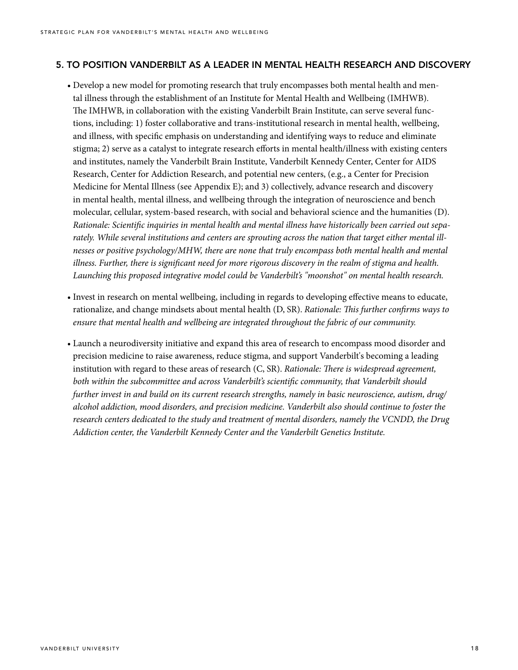#### 5. TO POSITION VANDERBILT AS A LEADER IN MENTAL HEALTH RESEARCH AND DISCOVERY

- Develop a new model for promoting research that truly encompasses both mental health and mental illness through the establishment of an Institute for Mental Health and Wellbeing (IMHWB). The IMHWB, in collaboration with the existing Vanderbilt Brain Institute, can serve several functions, including: 1) foster collaborative and trans-institutional research in mental health, wellbeing, and illness, with specific emphasis on understanding and identifying ways to reduce and eliminate stigma; 2) serve as a catalyst to integrate research efforts in mental health/illness with existing centers and institutes, namely the Vanderbilt Brain Institute, Vanderbilt Kennedy Center, Center for AIDS Research, Center for Addiction Research, and potential new centers, (e.g., a Center for Precision Medicine for Mental Illness (see Appendix E); and 3) collectively, advance research and discovery in mental health, mental illness, and wellbeing through the integration of neuroscience and bench molecular, cellular, system-based research, with social and behavioral science and the humanities (D). *Rationale: Scientific inquiries in mental health and mental illness have historically been carried out separately. While several institutions and centers are sprouting across the nation that target either mental illnesses or positive psychology/MHW, there are none that truly encompass both mental health and mental illness. Further, there is significant need for more rigorous discovery in the realm of stigma and health. Launching this proposed integrative model could be Vanderbilt's "moonshot" on mental health research.*
- Invest in research on mental wellbeing, including in regards to developing effective means to educate, rationalize, and change mindsets about mental health (D, SR). *Rationale: This further confirms ways to ensure that mental health and wellbeing are integrated throughout the fabric of our community.*
- Launch a neurodiversity initiative and expand this area of research to encompass mood disorder and precision medicine to raise awareness, reduce stigma, and support Vanderbilt's becoming a leading institution with regard to these areas of research (C, SR). *Rationale: There is widespread agreement, both within the subcommittee and across Vanderbilt's scientific community, that Vanderbilt should further invest in and build on its current research strengths, namely in basic neuroscience, autism, drug/ alcohol addiction, mood disorders, and precision medicine. Vanderbilt also should continue to foster the research centers dedicated to the study and treatment of mental disorders, namely the VCNDD, the Drug Addiction center, the Vanderbilt Kennedy Center and the Vanderbilt Genetics Institute.*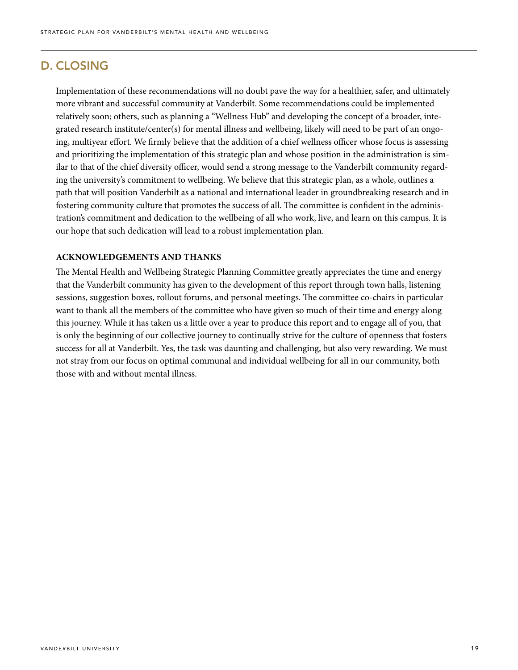# D. CLOSING

Implementation of these recommendations will no doubt pave the way for a healthier, safer, and ultimately more vibrant and successful community at Vanderbilt. Some recommendations could be implemented relatively soon; others, such as planning a "Wellness Hub" and developing the concept of a broader, integrated research institute/center(s) for mental illness and wellbeing, likely will need to be part of an ongoing, multiyear effort. We firmly believe that the addition of a chief wellness officer whose focus is assessing and prioritizing the implementation of this strategic plan and whose position in the administration is similar to that of the chief diversity officer, would send a strong message to the Vanderbilt community regarding the university's commitment to wellbeing. We believe that this strategic plan, as a whole, outlines a path that will position Vanderbilt as a national and international leader in groundbreaking research and in fostering community culture that promotes the success of all. The committee is confident in the administration's commitment and dedication to the wellbeing of all who work, live, and learn on this campus. It is our hope that such dedication will lead to a robust implementation plan.

#### **ACKNOWLEDGEMENTS AND THANKS**

The Mental Health and Wellbeing Strategic Planning Committee greatly appreciates the time and energy that the Vanderbilt community has given to the development of this report through town halls, listening sessions, suggestion boxes, rollout forums, and personal meetings. The committee co-chairs in particular want to thank all the members of the committee who have given so much of their time and energy along this journey. While it has taken us a little over a year to produce this report and to engage all of you, that is only the beginning of our collective journey to continually strive for the culture of openness that fosters success for all at Vanderbilt. Yes, the task was daunting and challenging, but also very rewarding. We must not stray from our focus on optimal communal and individual wellbeing for all in our community, both those with and without mental illness.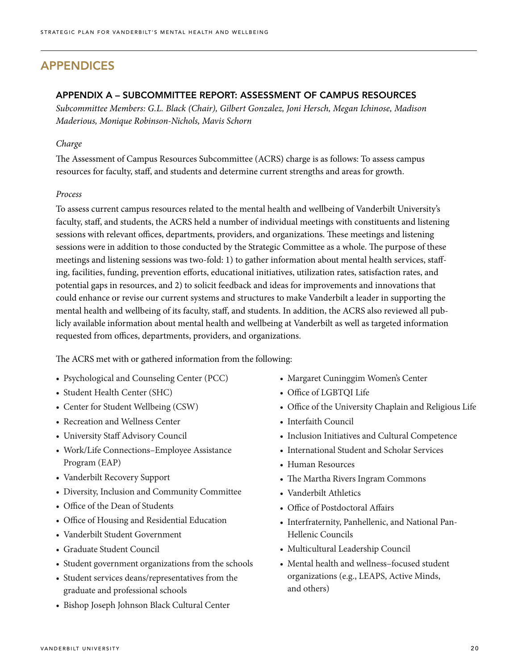# APPENDICES

#### APPENDIX A – SUBCOMMITTEE REPORT: ASSESSMENT OF CAMPUS RESOURCES

*Subcommittee Members: G.L. Black (Chair), Gilbert Gonzalez, Joni Hersch, Megan Ichinose, Madison Maderious, Monique Robinson-Nichols, Mavis Schorn*

#### *Charge*

The Assessment of Campus Resources Subcommittee (ACRS) charge is as follows: To assess campus resources for faculty, staff, and students and determine current strengths and areas for growth.

#### *Process*

To assess current campus resources related to the mental health and wellbeing of Vanderbilt University's faculty, staff, and students, the ACRS held a number of individual meetings with constituents and listening sessions with relevant offices, departments, providers, and organizations. These meetings and listening sessions were in addition to those conducted by the Strategic Committee as a whole. The purpose of these meetings and listening sessions was two-fold: 1) to gather information about mental health services, staffing, facilities, funding, prevention efforts, educational initiatives, utilization rates, satisfaction rates, and potential gaps in resources, and 2) to solicit feedback and ideas for improvements and innovations that could enhance or revise our current systems and structures to make Vanderbilt a leader in supporting the mental health and wellbeing of its faculty, staff, and students. In addition, the ACRS also reviewed all publicly available information about mental health and wellbeing at Vanderbilt as well as targeted information requested from offices, departments, providers, and organizations.

The ACRS met with or gathered information from the following:

- Psychological and Counseling Center (PCC)
- Student Health Center (SHC)
- Center for Student Wellbeing (CSW)
- Recreation and Wellness Center
- University Staff Advisory Council
- Work/Life Connections–Employee Assistance Program (EAP)
- Vanderbilt Recovery Support
- Diversity, Inclusion and Community Committee
- Office of the Dean of Students
- Office of Housing and Residential Education
- Vanderbilt Student Government
- Graduate Student Council
- Student government organizations from the schools
- Student services deans/representatives from the graduate and professional schools
- Bishop Joseph Johnson Black Cultural Center
- Margaret Cuninggim Women's Center
- Office of LGBTQI Life
- Office of the University Chaplain and Religious Life
- Interfaith Council
- Inclusion Initiatives and Cultural Competence
- International Student and Scholar Services
- Human Resources
- The Martha Rivers Ingram Commons
- Vanderbilt Athletics
- Office of Postdoctoral Affairs
- Interfraternity, Panhellenic, and National Pan-Hellenic Councils
- Multicultural Leadership Council
- Mental health and wellness–focused student organizations (e.g., LEAPS, Active Minds, and others)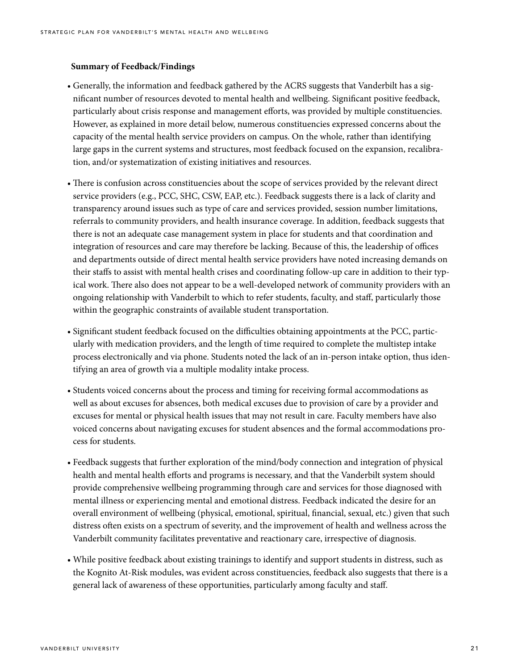#### **Summary of Feedback/Findings**

- Generally, the information and feedback gathered by the ACRS suggests that Vanderbilt has a significant number of resources devoted to mental health and wellbeing. Significant positive feedback, particularly about crisis response and management efforts, was provided by multiple constituencies. However, as explained in more detail below, numerous constituencies expressed concerns about the capacity of the mental health service providers on campus. On the whole, rather than identifying large gaps in the current systems and structures, most feedback focused on the expansion, recalibration, and/or systematization of existing initiatives and resources.
- There is confusion across constituencies about the scope of services provided by the relevant direct service providers (e.g., PCC, SHC, CSW, EAP, etc.). Feedback suggests there is a lack of clarity and transparency around issues such as type of care and services provided, session number limitations, referrals to community providers, and health insurance coverage. In addition, feedback suggests that there is not an adequate case management system in place for students and that coordination and integration of resources and care may therefore be lacking. Because of this, the leadership of offices and departments outside of direct mental health service providers have noted increasing demands on their staffs to assist with mental health crises and coordinating follow-up care in addition to their typical work. There also does not appear to be a well-developed network of community providers with an ongoing relationship with Vanderbilt to which to refer students, faculty, and staff, particularly those within the geographic constraints of available student transportation.
- Significant student feedback focused on the difficulties obtaining appointments at the PCC, particularly with medication providers, and the length of time required to complete the multistep intake process electronically and via phone. Students noted the lack of an in-person intake option, thus identifying an area of growth via a multiple modality intake process.
- Students voiced concerns about the process and timing for receiving formal accommodations as well as about excuses for absences, both medical excuses due to provision of care by a provider and excuses for mental or physical health issues that may not result in care. Faculty members have also voiced concerns about navigating excuses for student absences and the formal accommodations process for students.
- Feedback suggests that further exploration of the mind/body connection and integration of physical health and mental health efforts and programs is necessary, and that the Vanderbilt system should provide comprehensive wellbeing programming through care and services for those diagnosed with mental illness or experiencing mental and emotional distress. Feedback indicated the desire for an overall environment of wellbeing (physical, emotional, spiritual, financial, sexual, etc.) given that such distress often exists on a spectrum of severity, and the improvement of health and wellness across the Vanderbilt community facilitates preventative and reactionary care, irrespective of diagnosis.
- While positive feedback about existing trainings to identify and support students in distress, such as the Kognito At-Risk modules, was evident across constituencies, feedback also suggests that there is a general lack of awareness of these opportunities, particularly among faculty and staff.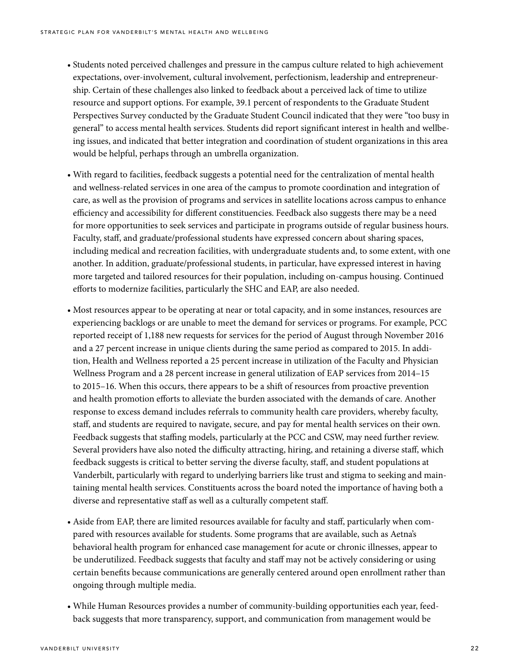- Students noted perceived challenges and pressure in the campus culture related to high achievement expectations, over-involvement, cultural involvement, perfectionism, leadership and entrepreneurship. Certain of these challenges also linked to feedback about a perceived lack of time to utilize resource and support options. For example, 39.1 percent of respondents to the Graduate Student Perspectives Survey conducted by the Graduate Student Council indicated that they were "too busy in general" to access mental health services. Students did report significant interest in health and wellbeing issues, and indicated that better integration and coordination of student organizations in this area would be helpful, perhaps through an umbrella organization.
- With regard to facilities, feedback suggests a potential need for the centralization of mental health and wellness-related services in one area of the campus to promote coordination and integration of care, as well as the provision of programs and services in satellite locations across campus to enhance efficiency and accessibility for different constituencies. Feedback also suggests there may be a need for more opportunities to seek services and participate in programs outside of regular business hours. Faculty, staff, and graduate/professional students have expressed concern about sharing spaces, including medical and recreation facilities, with undergraduate students and, to some extent, with one another. In addition, graduate/professional students, in particular, have expressed interest in having more targeted and tailored resources for their population, including on-campus housing. Continued efforts to modernize facilities, particularly the SHC and EAP, are also needed.
- Most resources appear to be operating at near or total capacity, and in some instances, resources are experiencing backlogs or are unable to meet the demand for services or programs. For example, PCC reported receipt of 1,188 new requests for services for the period of August through November 2016 and a 27 percent increase in unique clients during the same period as compared to 2015. In addition, Health and Wellness reported a 25 percent increase in utilization of the Faculty and Physician Wellness Program and a 28 percent increase in general utilization of EAP services from 2014–15 to 2015–16. When this occurs, there appears to be a shift of resources from proactive prevention and health promotion efforts to alleviate the burden associated with the demands of care. Another response to excess demand includes referrals to community health care providers, whereby faculty, staff, and students are required to navigate, secure, and pay for mental health services on their own. Feedback suggests that staffing models, particularly at the PCC and CSW, may need further review. Several providers have also noted the difficulty attracting, hiring, and retaining a diverse staff, which feedback suggests is critical to better serving the diverse faculty, staff, and student populations at Vanderbilt, particularly with regard to underlying barriers like trust and stigma to seeking and maintaining mental health services. Constituents across the board noted the importance of having both a diverse and representative staff as well as a culturally competent staff.
- Aside from EAP, there are limited resources available for faculty and staff, particularly when compared with resources available for students. Some programs that are available, such as Aetna's behavioral health program for enhanced case management for acute or chronic illnesses, appear to be underutilized. Feedback suggests that faculty and staff may not be actively considering or using certain benefits because communications are generally centered around open enrollment rather than ongoing through multiple media.
- While Human Resources provides a number of community-building opportunities each year, feedback suggests that more transparency, support, and communication from management would be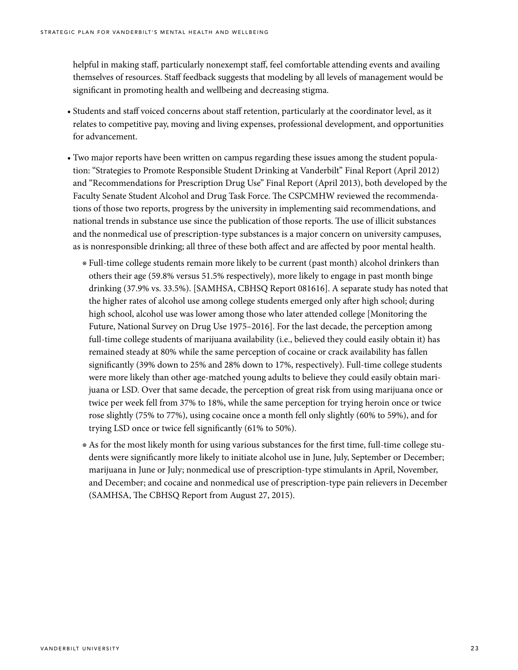helpful in making staff, particularly nonexempt staff, feel comfortable attending events and availing themselves of resources. Staff feedback suggests that modeling by all levels of management would be significant in promoting health and wellbeing and decreasing stigma.

- Students and staff voiced concerns about staff retention, particularly at the coordinator level, as it relates to competitive pay, moving and living expenses, professional development, and opportunities for advancement.
- Two major reports have been written on campus regarding these issues among the student population: "Strategies to Promote Responsible Student Drinking at Vanderbilt" Final Report (April 2012) and "Recommendations for Prescription Drug Use" Final Report (April 2013), both developed by the Faculty Senate Student Alcohol and Drug Task Force. The CSPCMHW reviewed the recommendations of those two reports, progress by the university in implementing said recommendations, and national trends in substance use since the publication of those reports. The use of illicit substances and the nonmedical use of prescription-type substances is a major concern on university campuses, as is nonresponsible drinking; all three of these both affect and are affected by poor mental health.
	- ◉ Full-time college students remain more likely to be current (past month) alcohol drinkers than others their age (59.8% versus 51.5% respectively), more likely to engage in past month binge drinking (37.9% vs. 33.5%). [SAMHSA, CBHSQ Report 081616]. A separate study has noted that the higher rates of alcohol use among college students emerged only after high school; during high school, alcohol use was lower among those who later attended college [Monitoring the Future, National Survey on Drug Use 1975–2016]. For the last decade, the perception among full-time college students of marijuana availability (i.e., believed they could easily obtain it) has remained steady at 80% while the same perception of cocaine or crack availability has fallen significantly (39% down to 25% and 28% down to 17%, respectively). Full-time college students were more likely than other age-matched young adults to believe they could easily obtain marijuana or LSD. Over that same decade, the perception of great risk from using marijuana once or twice per week fell from 37% to 18%, while the same perception for trying heroin once or twice rose slightly (75% to 77%), using cocaine once a month fell only slightly (60% to 59%), and for trying LSD once or twice fell significantly (61% to 50%).
	- ◉ As for the most likely month for using various substances for the first time, full-time college students were significantly more likely to initiate alcohol use in June, July, September or December; marijuana in June or July; nonmedical use of prescription-type stimulants in April, November, and December; and cocaine and nonmedical use of prescription-type pain relievers in December (SAMHSA, The CBHSQ Report from August 27, 2015).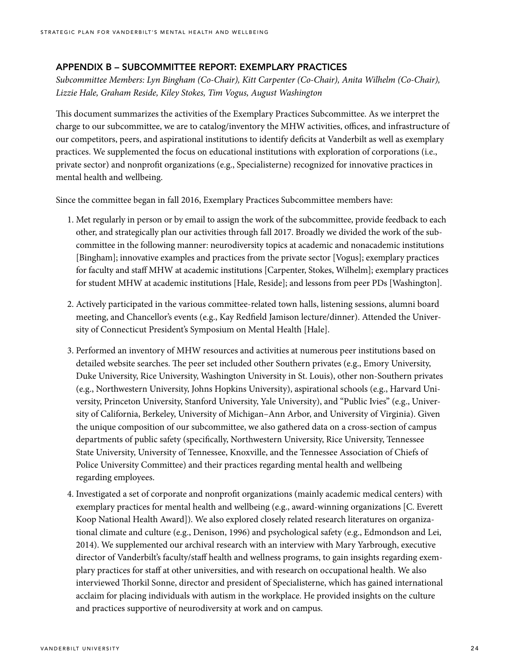#### APPENDIX B – SUBCOMMITTEE REPORT: EXEMPLARY PRACTICES

*Subcommittee Members: Lyn Bingham (Co-Chair), Kitt Carpenter (Co-Chair), Anita Wilhelm (Co-Chair), Lizzie Hale, Graham Reside, Kiley Stokes, Tim Vogus, August Washington*

This document summarizes the activities of the Exemplary Practices Subcommittee. As we interpret the charge to our subcommittee, we are to catalog/inventory the MHW activities, offices, and infrastructure of our competitors, peers, and aspirational institutions to identify deficits at Vanderbilt as well as exemplary practices. We supplemented the focus on educational institutions with exploration of corporations (i.e., private sector) and nonprofit organizations (e.g., Specialisterne) recognized for innovative practices in mental health and wellbeing.

Since the committee began in fall 2016, Exemplary Practices Subcommittee members have:

- 1. Met regularly in person or by email to assign the work of the subcommittee, provide feedback to each other, and strategically plan our activities through fall 2017. Broadly we divided the work of the subcommittee in the following manner: neurodiversity topics at academic and nonacademic institutions [Bingham]; innovative examples and practices from the private sector [Vogus]; exemplary practices for faculty and staff MHW at academic institutions [Carpenter, Stokes, Wilhelm]; exemplary practices for student MHW at academic institutions [Hale, Reside]; and lessons from peer PDs [Washington].
- 2. Actively participated in the various committee-related town halls, listening sessions, alumni board meeting, and Chancellor's events (e.g., Kay Redfield Jamison lecture/dinner). Attended the University of Connecticut President's Symposium on Mental Health [Hale].
- 3. Performed an inventory of MHW resources and activities at numerous peer institutions based on detailed website searches. The peer set included other Southern privates (e.g., Emory University, Duke University, Rice University, Washington University in St. Louis), other non-Southern privates (e.g., Northwestern University, Johns Hopkins University), aspirational schools (e.g., Harvard University, Princeton University, Stanford University, Yale University), and "Public Ivies" (e.g., University of California, Berkeley, University of Michigan–Ann Arbor, and University of Virginia). Given the unique composition of our subcommittee, we also gathered data on a cross-section of campus departments of public safety (specifically, Northwestern University, Rice University, Tennessee State University, University of Tennessee, Knoxville, and the Tennessee Association of Chiefs of Police University Committee) and their practices regarding mental health and wellbeing regarding employees.
- 4. Investigated a set of corporate and nonprofit organizations (mainly academic medical centers) with exemplary practices for mental health and wellbeing (e.g., award-winning organizations [C. Everett Koop National Health Award]). We also explored closely related research literatures on organizational climate and culture (e.g., Denison, 1996) and psychological safety (e.g., Edmondson and Lei, 2014). We supplemented our archival research with an interview with Mary Yarbrough, executive director of Vanderbilt's faculty/staff health and wellness programs, to gain insights regarding exemplary practices for staff at other universities, and with research on occupational health. We also interviewed Thorkil Sonne, director and president of Specialisterne, which has gained international acclaim for placing individuals with autism in the workplace. He provided insights on the culture and practices supportive of neurodiversity at work and on campus.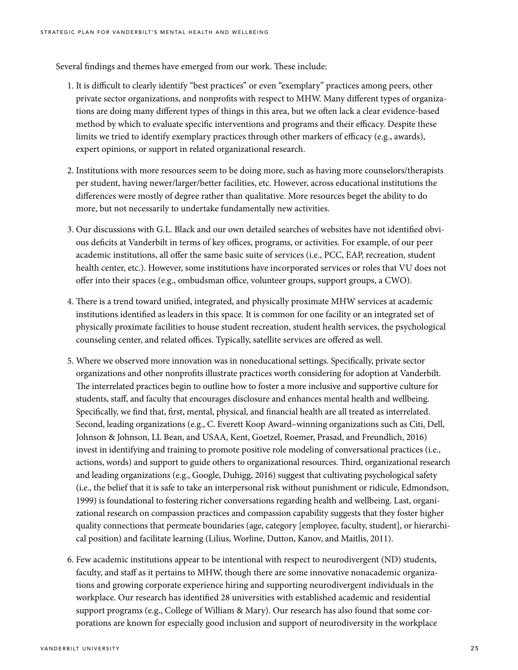Several findings and themes have emerged from our work. These include:

- 1. It is difficult to clearly identify "best practices" or even "exemplary" practices among peers, other private sector organizations, and nonprofits with respect to MHW. Many different types of organizations are doing many different types of things in this area, but we often lack a clear evidence-based method by which to evaluate specific interventions and programs and their efficacy. Despite these limits we tried to identify exemplary practices through other markers of efficacy (e.g., awards), expert opinions, or support in related organizational research.
- 2. Institutions with more resources seem to be doing more, such as having more counselors/therapists per student, having newer/larger/better facilities, etc. However, across educational institutions the differences were mostly of degree rather than qualitative. More resources beget the ability to do more, but not necessarily to undertake fundamentally new activities.
- 3. Our discussions with G.L. Black and our own detailed searches of websites have not identified obvious deficits at Vanderbilt in terms of key offices, programs, or activities. For example, of our peer academic institutions, all offer the same basic suite of services (i.e., PCC, EAP, recreation, student health center, etc.). However, some institutions have incorporated services or roles that VU does not offer into their spaces (e.g., ombudsman office, volunteer groups, support groups, a CWO).
- 4. There is a trend toward unified, integrated, and physically proximate MHW services at academic institutions identified as leaders in this space. It is common for one facility or an integrated set of physically proximate facilities to house student recreation, student health services, the psychological counseling center, and related offices. Typically, satellite services are offered as well.
- 5. Where we observed more innovation was in noneducational settings. Specifically, private sector organizations and other nonprofits illustrate practices worth considering for adoption at Vanderbilt. The interrelated practices begin to outline how to foster a more inclusive and supportive culture for students, staff, and faculty that encourages disclosure and enhances mental health and wellbeing. Specifically, we find that, first, mental, physical, and financial health are all treated as interrelated. Second, leading organizations (e.g., C. Everett Koop Award–winning organizations such as Citi, Dell, Johnson & Johnson, LL Bean, and USAA, Kent, Goetzel, Roemer, Prasad, and Freundlich, 2016) invest in identifying and training to promote positive role modeling of conversational practices (i.e., actions, words) and support to guide others to organizational resources. Third, organizational research and leading organizations (e.g., Google, Duhigg, 2016) suggest that cultivating psychological safety (i.e., the belief that it is safe to take an interpersonal risk without punishment or ridicule, Edmondson, 1999) is foundational to fostering richer conversations regarding health and wellbeing. Last, organizational research on compassion practices and compassion capability suggests that they foster higher quality connections that permeate boundaries (age, category [employee, faculty, student], or hierarchical position) and facilitate learning (Lilius, Worline, Dutton, Kanov, and Maitlis, 2011).
- 6. Few academic institutions appear to be intentional with respect to neurodivergent (ND) students, faculty, and staff as it pertains to MHW, though there are some innovative nonacademic organizations and growing corporate experience hiring and supporting neurodivergent individuals in the workplace. Our research has identified 28 universities with established academic and residential support programs (e.g., College of William & Mary). Our research has also found that some corporations are known for especially good inclusion and support of neurodiversity in the workplace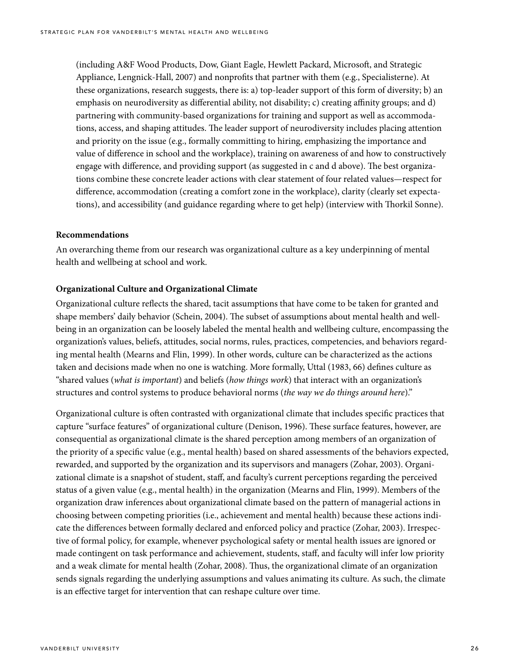(including A&F Wood Products, Dow, Giant Eagle, Hewlett Packard, Microsoft, and Strategic Appliance, Lengnick-Hall, 2007) and nonprofits that partner with them (e.g., Specialisterne). At these organizations, research suggests, there is: a) top-leader support of this form of diversity; b) an emphasis on neurodiversity as differential ability, not disability; c) creating affinity groups; and d) partnering with community-based organizations for training and support as well as accommodations, access, and shaping attitudes. The leader support of neurodiversity includes placing attention and priority on the issue (e.g., formally committing to hiring, emphasizing the importance and value of difference in school and the workplace), training on awareness of and how to constructively engage with difference, and providing support (as suggested in c and d above). The best organizations combine these concrete leader actions with clear statement of four related values—respect for difference, accommodation (creating a comfort zone in the workplace), clarity (clearly set expectations), and accessibility (and guidance regarding where to get help) (interview with Thorkil Sonne).

#### **Recommendations**

An overarching theme from our research was organizational culture as a key underpinning of mental health and wellbeing at school and work.

#### **Organizational Culture and Organizational Climate**

Organizational culture reflects the shared, tacit assumptions that have come to be taken for granted and shape members' daily behavior (Schein, 2004). The subset of assumptions about mental health and wellbeing in an organization can be loosely labeled the mental health and wellbeing culture, encompassing the organization's values, beliefs, attitudes, social norms, rules, practices, competencies, and behaviors regarding mental health (Mearns and Flin, 1999). In other words, culture can be characterized as the actions taken and decisions made when no one is watching. More formally, Uttal (1983, 66) defines culture as "shared values (*what is important*) and beliefs (*how things work*) that interact with an organization's structures and control systems to produce behavioral norms (*the way we do things around here*)."

Organizational culture is often contrasted with organizational climate that includes specific practices that capture "surface features" of organizational culture (Denison, 1996). These surface features, however, are consequential as organizational climate is the shared perception among members of an organization of the priority of a specific value (e.g., mental health) based on shared assessments of the behaviors expected, rewarded, and supported by the organization and its supervisors and managers (Zohar, 2003). Organizational climate is a snapshot of student, staff, and faculty's current perceptions regarding the perceived status of a given value (e.g., mental health) in the organization (Mearns and Flin, 1999). Members of the organization draw inferences about organizational climate based on the pattern of managerial actions in choosing between competing priorities (i.e., achievement and mental health) because these actions indicate the differences between formally declared and enforced policy and practice (Zohar, 2003). Irrespective of formal policy, for example, whenever psychological safety or mental health issues are ignored or made contingent on task performance and achievement, students, staff, and faculty will infer low priority and a weak climate for mental health (Zohar, 2008). Thus, the organizational climate of an organization sends signals regarding the underlying assumptions and values animating its culture. As such, the climate is an effective target for intervention that can reshape culture over time.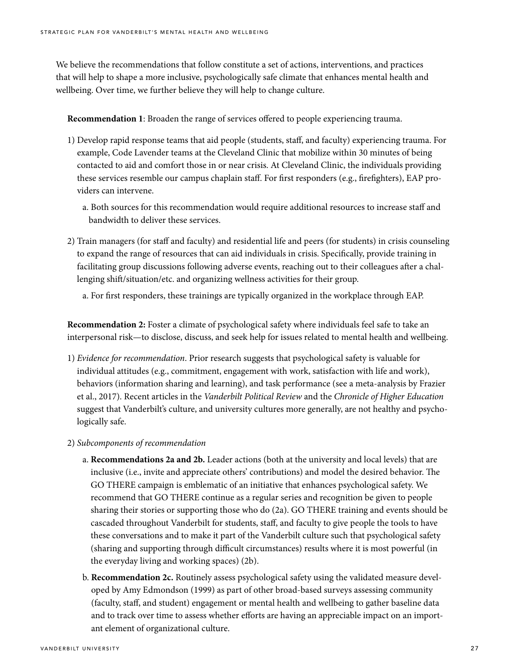We believe the recommendations that follow constitute a set of actions, interventions, and practices that will help to shape a more inclusive, psychologically safe climate that enhances mental health and wellbeing. Over time, we further believe they will help to change culture.

**Recommendation 1**: Broaden the range of services offered to people experiencing trauma.

- 1) Develop rapid response teams that aid people (students, staff, and faculty) experiencing trauma. For example, Code Lavender teams at the Cleveland Clinic that mobilize within 30 minutes of being contacted to aid and comfort those in or near crisis. At Cleveland Clinic, the individuals providing these services resemble our campus chaplain staff. For first responders (e.g., firefighters), EAP providers can intervene.
	- a. Both sources for this recommendation would require additional resources to increase staff and bandwidth to deliver these services.
- 2) Train managers (for staff and faculty) and residential life and peers (for students) in crisis counseling to expand the range of resources that can aid individuals in crisis. Specifically, provide training in facilitating group discussions following adverse events, reaching out to their colleagues after a challenging shift/situation/etc. and organizing wellness activities for their group.

a. For first responders, these trainings are typically organized in the workplace through EAP.

**Recommendation 2:** Foster a climate of psychological safety where individuals feel safe to take an interpersonal risk—to disclose, discuss, and seek help for issues related to mental health and wellbeing.

- 1) *Evidence for recommendation*. Prior research suggests that psychological safety is valuable for individual attitudes (e.g., commitment, engagement with work, satisfaction with life and work), behaviors (information sharing and learning), and task performance (see a meta-analysis by Frazier et al., 2017). Recent articles in the *Vanderbilt Political Review* and the *Chronicle of Higher Education* suggest that Vanderbilt's culture, and university cultures more generally, are not healthy and psychologically safe.
- 2) *Subcomponents of recommendation*
	- a. **Recommendations 2a and 2b.** Leader actions (both at the university and local levels) that are inclusive (i.e., invite and appreciate others' contributions) and model the desired behavior. The GO THERE campaign is emblematic of an initiative that enhances psychological safety. We recommend that GO THERE continue as a regular series and recognition be given to people sharing their stories or supporting those who do (2a). GO THERE training and events should be cascaded throughout Vanderbilt for students, staff, and faculty to give people the tools to have these conversations and to make it part of the Vanderbilt culture such that psychological safety (sharing and supporting through difficult circumstances) results where it is most powerful (in the everyday living and working spaces) (2b).
	- b. **Recommendation 2c.** Routinely assess psychological safety using the validated measure developed by Amy Edmondson (1999) as part of other broad-based surveys assessing community (faculty, staff, and student) engagement or mental health and wellbeing to gather baseline data and to track over time to assess whether efforts are having an appreciable impact on an important element of organizational culture.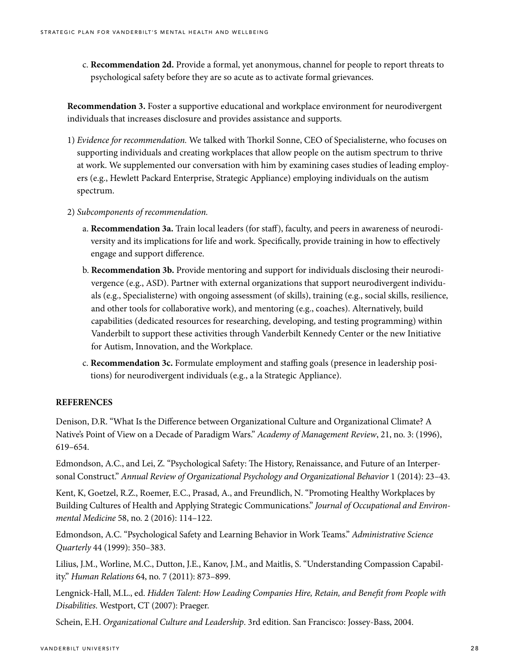c. **Recommendation 2d.** Provide a formal, yet anonymous, channel for people to report threats to psychological safety before they are so acute as to activate formal grievances.

**Recommendation 3.** Foster a supportive educational and workplace environment for neurodivergent individuals that increases disclosure and provides assistance and supports.

- 1) *Evidence for recommendation.* We talked with Thorkil Sonne, CEO of Specialisterne, who focuses on supporting individuals and creating workplaces that allow people on the autism spectrum to thrive at work. We supplemented our conversation with him by examining cases studies of leading employers (e.g., Hewlett Packard Enterprise, Strategic Appliance) employing individuals on the autism spectrum.
- 2) *Subcomponents of recommendation.*
	- a. **Recommendation 3a.** Train local leaders (for staff), faculty, and peers in awareness of neurodiversity and its implications for life and work. Specifically, provide training in how to effectively engage and support difference.
	- b. **Recommendation 3b.** Provide mentoring and support for individuals disclosing their neurodivergence (e.g., ASD). Partner with external organizations that support neurodivergent individuals (e.g., Specialisterne) with ongoing assessment (of skills), training (e.g., social skills, resilience, and other tools for collaborative work), and mentoring (e.g., coaches). Alternatively, build capabilities (dedicated resources for researching, developing, and testing programming) within Vanderbilt to support these activities through Vanderbilt Kennedy Center or the new Initiative for Autism, Innovation, and the Workplace.
	- c. **Recommendation 3c.** Formulate employment and staffing goals (presence in leadership positions) for neurodivergent individuals (e.g., a la Strategic Appliance).

#### **REFERENCES**

Denison, D.R. "What Is the Difference between Organizational Culture and Organizational Climate? A Native's Point of View on a Decade of Paradigm Wars." *Academy of Management Review*, 21, no. 3: (1996), 619–654.

Edmondson, A.C., and Lei, Z. "Psychological Safety: The History, Renaissance, and Future of an Interpersonal Construct." *Annual Review of Organizational Psychology and Organizational Behavior* 1 (2014): 23–43.

Kent, K, Goetzel, R.Z., Roemer, E.C., Prasad, A., and Freundlich, N. "Promoting Healthy Workplaces by Building Cultures of Health and Applying Strategic Communications." *Journal of Occupational and Environmental Medicine* 58, no. 2 (2016): 114–122.

Edmondson, A.C. "Psychological Safety and Learning Behavior in Work Teams." *Administrative Science Quarterly* 44 (1999): 350–383.

Lilius, J.M., Worline, M.C., Dutton, J.E., Kanov, J.M., and Maitlis, S. "Understanding Compassion Capability." *Human Relations* 64, no. 7 (2011): 873–899.

Lengnick-Hall, M.L., ed. *Hidden Talent: How Leading Companies Hire, Retain, and Benefit from People with Disabilities*. Westport, CT (2007): Praeger.

Schein, E.H. *Organizational Culture and Leadership*. 3rd edition. San Francisco: Jossey-Bass, 2004.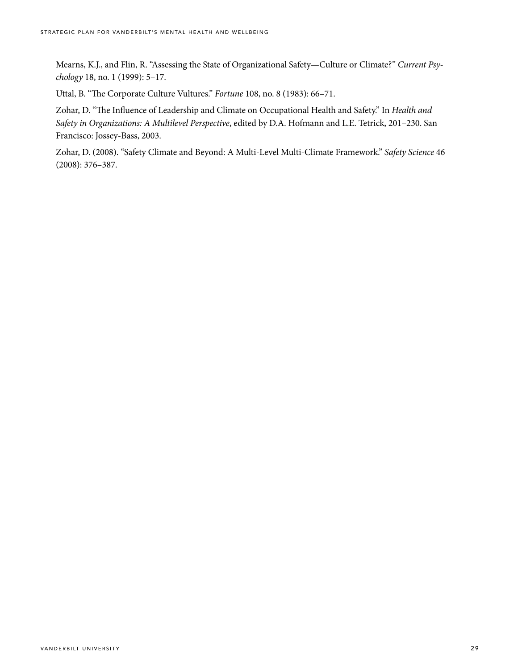Mearns, K.J., and Flin, R. "Assessing the State of Organizational Safety—Culture or Climate?" *Current Psychology* 18, no. 1 (1999): 5–17.

Uttal, B. "The Corporate Culture Vultures." *Fortune* 108, no. 8 (1983): 66–71.

Zohar, D. "The Influence of Leadership and Climate on Occupational Health and Safety." In *Health and Safety in Organizations: A Multilevel Perspective*, edited by D.A. Hofmann and L.E. Tetrick, 201–230. San Francisco: Jossey-Bass, 2003.

Zohar, D. (2008). "Safety Climate and Beyond: A Multi-Level Multi-Climate Framework." *Safety Science* 46 (2008): 376–387.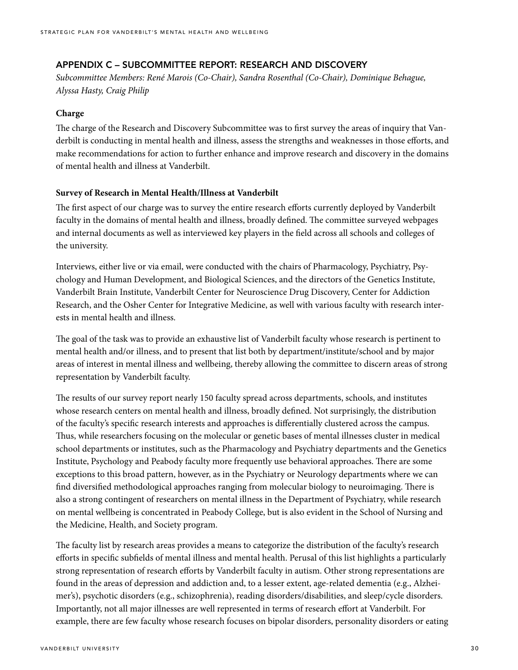## APPENDIX C – SUBCOMMITTEE REPORT: RESEARCH AND DISCOVERY

*Subcommittee Members: René Marois (Co-Chair), Sandra Rosenthal (Co-Chair), Dominique Behague, Alyssa Hasty, Craig Philip*

#### **Charge**

The charge of the Research and Discovery Subcommittee was to first survey the areas of inquiry that Vanderbilt is conducting in mental health and illness, assess the strengths and weaknesses in those efforts, and make recommendations for action to further enhance and improve research and discovery in the domains of mental health and illness at Vanderbilt.

#### **Survey of Research in Mental Health/Illness at Vanderbilt**

The first aspect of our charge was to survey the entire research efforts currently deployed by Vanderbilt faculty in the domains of mental health and illness, broadly defined. The committee surveyed webpages and internal documents as well as interviewed key players in the field across all schools and colleges of the university.

Interviews, either live or via email, were conducted with the chairs of Pharmacology, Psychiatry, Psychology and Human Development, and Biological Sciences, and the directors of the Genetics Institute, Vanderbilt Brain Institute, Vanderbilt Center for Neuroscience Drug Discovery, Center for Addiction Research, and the Osher Center for Integrative Medicine, as well with various faculty with research interests in mental health and illness.

The goal of the task was to provide an exhaustive list of Vanderbilt faculty whose research is pertinent to mental health and/or illness, and to present that list both by department/institute/school and by major areas of interest in mental illness and wellbeing, thereby allowing the committee to discern areas of strong representation by Vanderbilt faculty.

The results of our survey report nearly 150 faculty spread across departments, schools, and institutes whose research centers on mental health and illness, broadly defined. Not surprisingly, the distribution of the faculty's specific research interests and approaches is differentially clustered across the campus. Thus, while researchers focusing on the molecular or genetic bases of mental illnesses cluster in medical school departments or institutes, such as the Pharmacology and Psychiatry departments and the Genetics Institute, Psychology and Peabody faculty more frequently use behavioral approaches. There are some exceptions to this broad pattern, however, as in the Psychiatry or Neurology departments where we can find diversified methodological approaches ranging from molecular biology to neuroimaging. There is also a strong contingent of researchers on mental illness in the Department of Psychiatry, while research on mental wellbeing is concentrated in Peabody College, but is also evident in the School of Nursing and the Medicine, Health, and Society program.

The faculty list by research areas provides a means to categorize the distribution of the faculty's research efforts in specific subfields of mental illness and mental health. Perusal of this list highlights a particularly strong representation of research efforts by Vanderbilt faculty in autism. Other strong representations are found in the areas of depression and addiction and, to a lesser extent, age-related dementia (e.g., Alzheimer's), psychotic disorders (e.g., schizophrenia), reading disorders/disabilities, and sleep/cycle disorders. Importantly, not all major illnesses are well represented in terms of research effort at Vanderbilt. For example, there are few faculty whose research focuses on bipolar disorders, personality disorders or eating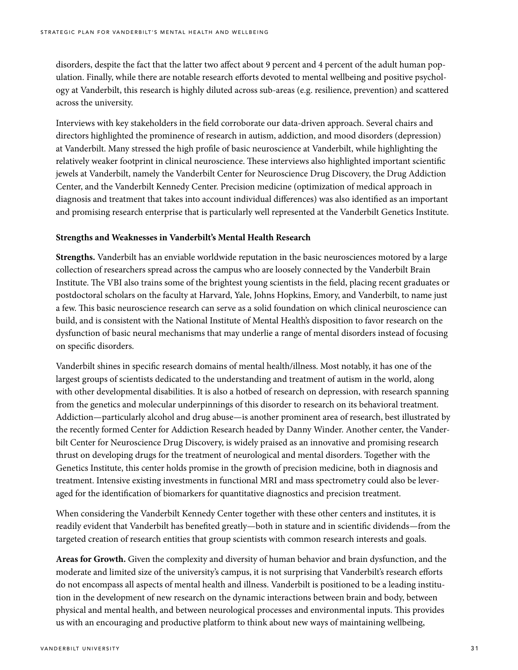disorders, despite the fact that the latter two affect about 9 percent and 4 percent of the adult human population. Finally, while there are notable research efforts devoted to mental wellbeing and positive psychology at Vanderbilt, this research is highly diluted across sub-areas (e.g. resilience, prevention) and scattered across the university.

Interviews with key stakeholders in the field corroborate our data-driven approach. Several chairs and directors highlighted the prominence of research in autism, addiction, and mood disorders (depression) at Vanderbilt. Many stressed the high profile of basic neuroscience at Vanderbilt, while highlighting the relatively weaker footprint in clinical neuroscience. These interviews also highlighted important scientific jewels at Vanderbilt, namely the Vanderbilt Center for Neuroscience Drug Discovery, the Drug Addiction Center, and the Vanderbilt Kennedy Center. Precision medicine (optimization of medical approach in diagnosis and treatment that takes into account individual differences) was also identified as an important and promising research enterprise that is particularly well represented at the Vanderbilt Genetics Institute.

#### **Strengths and Weaknesses in Vanderbilt's Mental Health Research**

**Strengths.** Vanderbilt has an enviable worldwide reputation in the basic neurosciences motored by a large collection of researchers spread across the campus who are loosely connected by the Vanderbilt Brain Institute. The VBI also trains some of the brightest young scientists in the field, placing recent graduates or postdoctoral scholars on the faculty at Harvard, Yale, Johns Hopkins, Emory, and Vanderbilt, to name just a few. This basic neuroscience research can serve as a solid foundation on which clinical neuroscience can build, and is consistent with the National Institute of Mental Health's disposition to favor research on the dysfunction of basic neural mechanisms that may underlie a range of mental disorders instead of focusing on specific disorders.

Vanderbilt shines in specific research domains of mental health/illness. Most notably, it has one of the largest groups of scientists dedicated to the understanding and treatment of autism in the world, along with other developmental disabilities. It is also a hotbed of research on depression, with research spanning from the genetics and molecular underpinnings of this disorder to research on its behavioral treatment. Addiction—particularly alcohol and drug abuse—is another prominent area of research, best illustrated by the recently formed Center for Addiction Research headed by Danny Winder. Another center, the Vanderbilt Center for Neuroscience Drug Discovery, is widely praised as an innovative and promising research thrust on developing drugs for the treatment of neurological and mental disorders. Together with the Genetics Institute, this center holds promise in the growth of precision medicine, both in diagnosis and treatment. Intensive existing investments in functional MRI and mass spectrometry could also be leveraged for the identification of biomarkers for quantitative diagnostics and precision treatment.

When considering the Vanderbilt Kennedy Center together with these other centers and institutes, it is readily evident that Vanderbilt has benefited greatly—both in stature and in scientific dividends—from the targeted creation of research entities that group scientists with common research interests and goals.

**Areas for Growth.** Given the complexity and diversity of human behavior and brain dysfunction, and the moderate and limited size of the university's campus, it is not surprising that Vanderbilt's research efforts do not encompass all aspects of mental health and illness. Vanderbilt is positioned to be a leading institution in the development of new research on the dynamic interactions between brain and body, between physical and mental health, and between neurological processes and environmental inputs. This provides us with an encouraging and productive platform to think about new ways of maintaining wellbeing,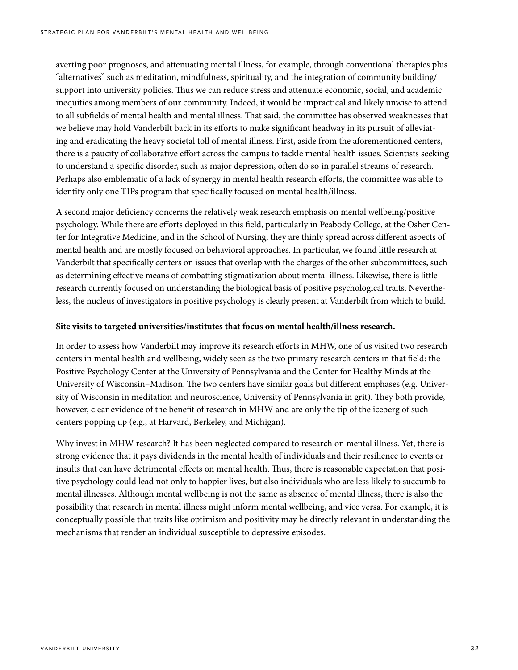averting poor prognoses, and attenuating mental illness, for example, through conventional therapies plus "alternatives" such as meditation, mindfulness, spirituality, and the integration of community building/ support into university policies. Thus we can reduce stress and attenuate economic, social, and academic inequities among members of our community. Indeed, it would be impractical and likely unwise to attend to all subfields of mental health and mental illness. That said, the committee has observed weaknesses that we believe may hold Vanderbilt back in its efforts to make significant headway in its pursuit of alleviating and eradicating the heavy societal toll of mental illness. First, aside from the aforementioned centers, there is a paucity of collaborative effort across the campus to tackle mental health issues. Scientists seeking to understand a specific disorder, such as major depression, often do so in parallel streams of research. Perhaps also emblematic of a lack of synergy in mental health research efforts, the committee was able to identify only one TIPs program that specifically focused on mental health/illness.

A second major deficiency concerns the relatively weak research emphasis on mental wellbeing/positive psychology. While there are efforts deployed in this field, particularly in Peabody College, at the Osher Center for Integrative Medicine, and in the School of Nursing, they are thinly spread across different aspects of mental health and are mostly focused on behavioral approaches. In particular, we found little research at Vanderbilt that specifically centers on issues that overlap with the charges of the other subcommittees, such as determining effective means of combatting stigmatization about mental illness. Likewise, there is little research currently focused on understanding the biological basis of positive psychological traits. Nevertheless, the nucleus of investigators in positive psychology is clearly present at Vanderbilt from which to build.

#### **Site visits to targeted universities/institutes that focus on mental health/illness research.**

In order to assess how Vanderbilt may improve its research efforts in MHW, one of us visited two research centers in mental health and wellbeing, widely seen as the two primary research centers in that field: the Positive Psychology Center at the University of Pennsylvania and the Center for Healthy Minds at the University of Wisconsin–Madison. The two centers have similar goals but different emphases (e.g. University of Wisconsin in meditation and neuroscience, University of Pennsylvania in grit). They both provide, however, clear evidence of the benefit of research in MHW and are only the tip of the iceberg of such centers popping up (e.g., at Harvard, Berkeley, and Michigan).

Why invest in MHW research? It has been neglected compared to research on mental illness. Yet, there is strong evidence that it pays dividends in the mental health of individuals and their resilience to events or insults that can have detrimental effects on mental health. Thus, there is reasonable expectation that positive psychology could lead not only to happier lives, but also individuals who are less likely to succumb to mental illnesses. Although mental wellbeing is not the same as absence of mental illness, there is also the possibility that research in mental illness might inform mental wellbeing, and vice versa. For example, it is conceptually possible that traits like optimism and positivity may be directly relevant in understanding the mechanisms that render an individual susceptible to depressive episodes.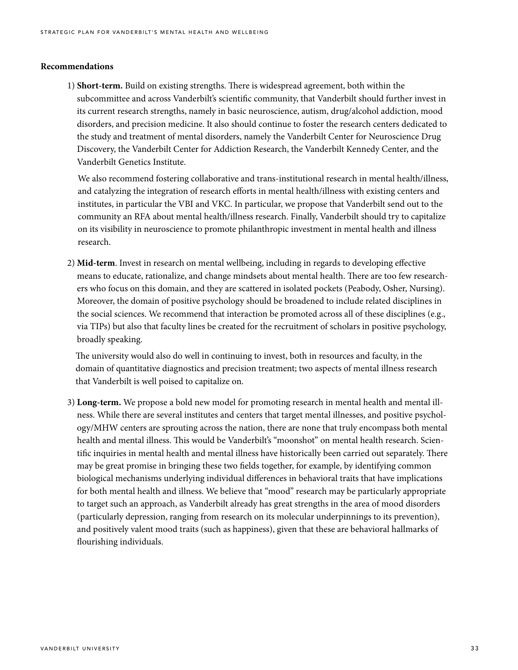#### **Recommendations**

1) **Short-term.** Build on existing strengths. There is widespread agreement, both within the subcommittee and across Vanderbilt's scientific community, that Vanderbilt should further invest in its current research strengths, namely in basic neuroscience, autism, drug/alcohol addiction, mood disorders, and precision medicine. It also should continue to foster the research centers dedicated to the study and treatment of mental disorders, namely the Vanderbilt Center for Neuroscience Drug Discovery, the Vanderbilt Center for Addiction Research, the Vanderbilt Kennedy Center, and the Vanderbilt Genetics Institute.

 We also recommend fostering collaborative and trans-institutional research in mental health/illness, and catalyzing the integration of research efforts in mental health/illness with existing centers and institutes, in particular the VBI and VKC. In particular, we propose that Vanderbilt send out to the community an RFA about mental health/illness research. Finally, Vanderbilt should try to capitalize on its visibility in neuroscience to promote philanthropic investment in mental health and illness research.

2) **Mid-term**. Invest in research on mental wellbeing, including in regards to developing effective means to educate, rationalize, and change mindsets about mental health. There are too few researchers who focus on this domain, and they are scattered in isolated pockets (Peabody, Osher, Nursing). Moreover, the domain of positive psychology should be broadened to include related disciplines in the social sciences. We recommend that interaction be promoted across all of these disciplines (e.g., via TIPs) but also that faculty lines be created for the recruitment of scholars in positive psychology, broadly speaking.

 The university would also do well in continuing to invest, both in resources and faculty, in the domain of quantitative diagnostics and precision treatment; two aspects of mental illness research that Vanderbilt is well poised to capitalize on.

3) **Long-term.** We propose a bold new model for promoting research in mental health and mental illness. While there are several institutes and centers that target mental illnesses, and positive psychology/MHW centers are sprouting across the nation, there are none that truly encompass both mental health and mental illness. This would be Vanderbilt's "moonshot" on mental health research. Scientific inquiries in mental health and mental illness have historically been carried out separately. There may be great promise in bringing these two fields together, for example, by identifying common biological mechanisms underlying individual differences in behavioral traits that have implications for both mental health and illness. We believe that "mood" research may be particularly appropriate to target such an approach, as Vanderbilt already has great strengths in the area of mood disorders (particularly depression, ranging from research on its molecular underpinnings to its prevention), and positively valent mood traits (such as happiness), given that these are behavioral hallmarks of flourishing individuals.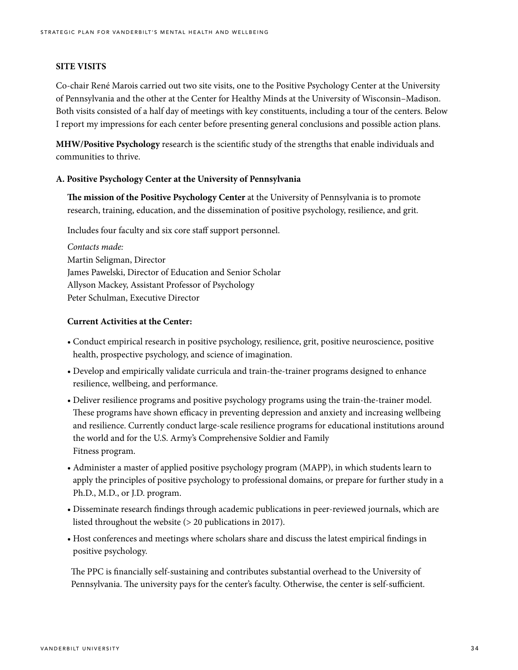#### **SITE VISITS**

Co-chair René Marois carried out two site visits, one to the Positive Psychology Center at the University of Pennsylvania and the other at the Center for Healthy Minds at the University of Wisconsin–Madison. Both visits consisted of a half day of meetings with key constituents, including a tour of the centers. Below I report my impressions for each center before presenting general conclusions and possible action plans.

**MHW/Positive Psychology** research is the scientific study of the strengths that enable individuals and communities to thrive.

#### **A. Positive Psychology Center at the University of Pennsylvania**

**The mission of the Positive Psychology Center** at the University of Pennsylvania is to promote research, training, education, and the dissemination of positive psychology, resilience, and grit.

Includes four faculty and six core staff support personnel.

*Contacts made:* Martin Seligman, Director James Pawelski, Director of Education and Senior Scholar Allyson Mackey, Assistant Professor of Psychology Peter Schulman, Executive Director

#### **Current Activities at the Center:**

- Conduct empirical research in positive psychology, resilience, grit, positive neuroscience, positive health, prospective psychology, and science of imagination.
- Develop and empirically validate curricula and train-the-trainer programs designed to enhance resilience, wellbeing, and performance.
- Deliver resilience programs and positive psychology programs using the train-the-trainer model. These programs have shown efficacy in preventing depression and anxiety and increasing wellbeing and resilience. Currently conduct large-scale resilience programs for educational institutions around the world and for the U.S. Army's Comprehensive Soldier and Family Fitness program.
- Administer a master of applied positive psychology program (MAPP), in which students learn to apply the principles of positive psychology to professional domains, or prepare for further study in a Ph.D., M.D., or J.D. program.
- Disseminate research findings through academic publications in peer-reviewed journals, which are listed throughout the website (> 20 publications in 2017).
- Host conferences and meetings where scholars share and discuss the latest empirical findings in positive psychology.

The PPC is financially self-sustaining and contributes substantial overhead to the University of Pennsylvania. The university pays for the center's faculty. Otherwise, the center is self-sufficient.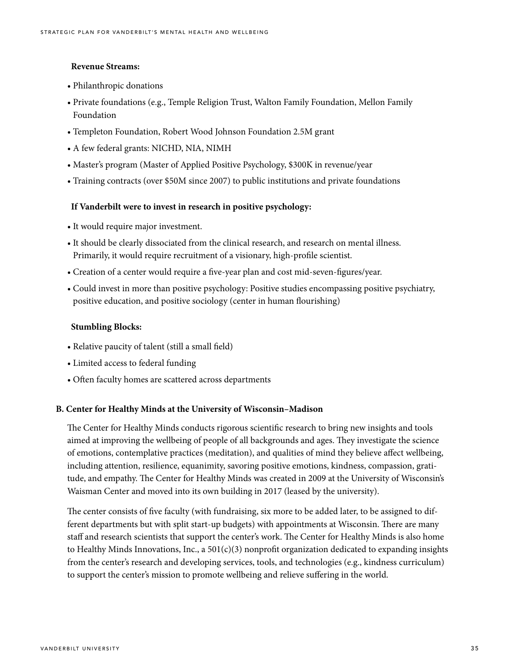#### **Revenue Streams:**

- Philanthropic donations
- Private foundations (e.g., Temple Religion Trust, Walton Family Foundation, Mellon Family Foundation
- Templeton Foundation, Robert Wood Johnson Foundation 2.5M grant
- A few federal grants: NICHD, NIA, NIMH
- Master's program (Master of Applied Positive Psychology, \$300K in revenue/year
- Training contracts (over \$50M since 2007) to public institutions and private foundations

#### **If Vanderbilt were to invest in research in positive psychology:**

- It would require major investment.
- It should be clearly dissociated from the clinical research, and research on mental illness. Primarily, it would require recruitment of a visionary, high-profile scientist.
- Creation of a center would require a five-year plan and cost mid-seven-figures/year.
- Could invest in more than positive psychology: Positive studies encompassing positive psychiatry, positive education, and positive sociology (center in human flourishing)

#### **Stumbling Blocks:**

- Relative paucity of talent (still a small field)
- Limited access to federal funding
- Often faculty homes are scattered across departments

#### **B. Center for Healthy Minds at the University of Wisconsin–Madison**

The Center for Healthy Minds conducts rigorous scientific research to bring new insights and tools aimed at improving the wellbeing of people of all backgrounds and ages. They investigate the science of emotions, contemplative practices (meditation), and qualities of mind they believe affect wellbeing, including attention, resilience, equanimity, savoring positive emotions, kindness, compassion, gratitude, and empathy. The Center for Healthy Minds was created in 2009 at the University of Wisconsin's Waisman Center and moved into its own building in 2017 (leased by the university).

The center consists of five faculty (with fundraising, six more to be added later, to be assigned to different departments but with split start-up budgets) with appointments at Wisconsin. There are many staff and research scientists that support the center's work. The Center for Healthy Minds is also home to Healthy Minds Innovations, Inc., a  $501(c)(3)$  nonprofit organization dedicated to expanding insights from the center's research and developing services, tools, and technologies (e.g., kindness curriculum) to support the center's mission to promote wellbeing and relieve suffering in the world.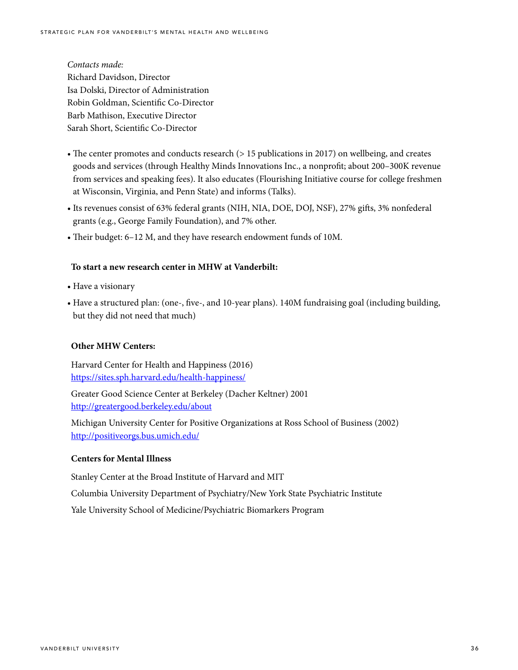*Contacts made:* Richard Davidson, Director Isa Dolski, Director of Administration Robin Goldman, Scientific Co-Director Barb Mathison, Executive Director Sarah Short, Scientific Co-Director

- The center promotes and conducts research (> 15 publications in 2017) on wellbeing, and creates goods and services (through Healthy Minds Innovations Inc., a nonprofit; about 200–300K revenue from services and speaking fees). It also educates (Flourishing Initiative course for college freshmen at Wisconsin, Virginia, and Penn State) and informs (Talks).
- Its revenues consist of 63% federal grants (NIH, NIA, DOE, DOJ, NSF), 27% gifts, 3% nonfederal grants (e.g., George Family Foundation), and 7% other.
- Their budget: 6–12 M, and they have research endowment funds of 10M.

#### **To start a new research center in MHW at Vanderbilt:**

- Have a visionary
- Have a structured plan: (one-, five-, and 10-year plans). 140M fundraising goal (including building, but they did not need that much)

#### **Other MHW Centers:**

Harvard Center for Health and Happiness (2016) https://sites.sph.harvard.edu/health-happiness/

Greater Good Science Center at Berkeley (Dacher Keltner) 2001 http://greatergood.berkeley.edu/about

Michigan University Center for Positive Organizations at Ross School of Business (2002) http://positiveorgs.bus.umich.edu/

#### **Centers for Mental Illness**

Stanley Center at the Broad Institute of Harvard and MIT

Columbia University Department of Psychiatry/New York State Psychiatric Institute

Yale University School of Medicine/Psychiatric Biomarkers Program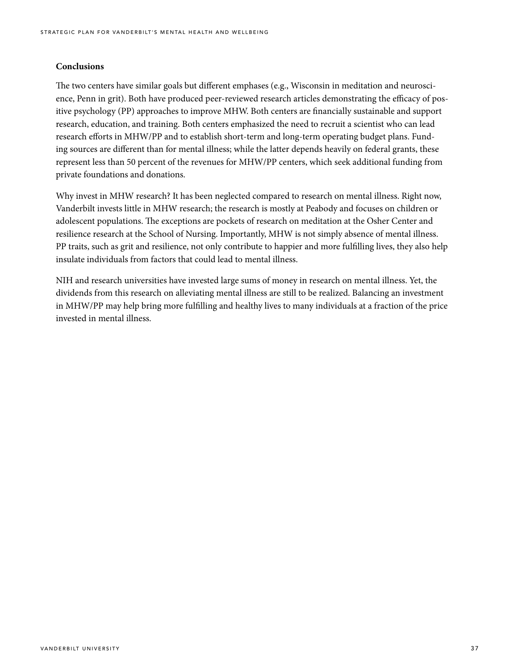#### **Conclusions**

The two centers have similar goals but different emphases (e.g., Wisconsin in meditation and neuroscience, Penn in grit). Both have produced peer-reviewed research articles demonstrating the efficacy of positive psychology (PP) approaches to improve MHW. Both centers are financially sustainable and support research, education, and training. Both centers emphasized the need to recruit a scientist who can lead research efforts in MHW/PP and to establish short-term and long-term operating budget plans. Funding sources are different than for mental illness; while the latter depends heavily on federal grants, these represent less than 50 percent of the revenues for MHW/PP centers, which seek additional funding from private foundations and donations.

Why invest in MHW research? It has been neglected compared to research on mental illness. Right now, Vanderbilt invests little in MHW research; the research is mostly at Peabody and focuses on children or adolescent populations. The exceptions are pockets of research on meditation at the Osher Center and resilience research at the School of Nursing. Importantly, MHW is not simply absence of mental illness. PP traits, such as grit and resilience, not only contribute to happier and more fulfilling lives, they also help insulate individuals from factors that could lead to mental illness.

NIH and research universities have invested large sums of money in research on mental illness. Yet, the dividends from this research on alleviating mental illness are still to be realized. Balancing an investment in MHW/PP may help bring more fulfilling and healthy lives to many individuals at a fraction of the price invested in mental illness.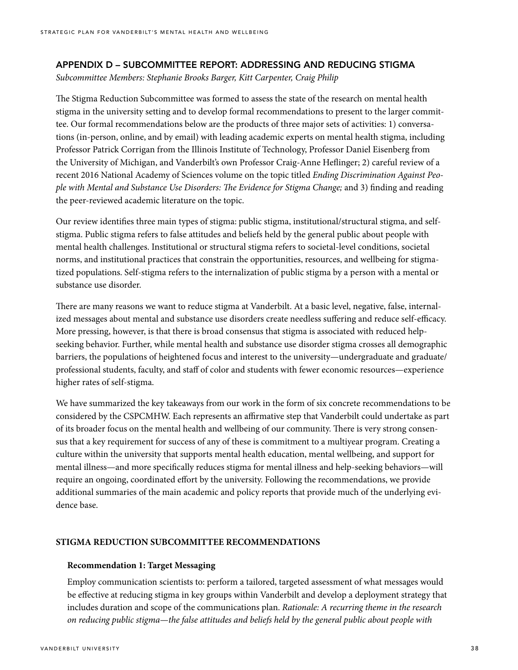#### APPENDIX D – SUBCOMMITTEE REPORT: ADDRESSING AND REDUCING STIGMA

*Subcommittee Members: Stephanie Brooks Barger, Kitt Carpenter, Craig Philip* 

The Stigma Reduction Subcommittee was formed to assess the state of the research on mental health stigma in the university setting and to develop formal recommendations to present to the larger committee. Our formal recommendations below are the products of three major sets of activities: 1) conversations (in-person, online, and by email) with leading academic experts on mental health stigma, including Professor Patrick Corrigan from the Illinois Institute of Technology, Professor Daniel Eisenberg from the University of Michigan, and Vanderbilt's own Professor Craig-Anne Heflinger; 2) careful review of a recent 2016 National Academy of Sciences volume on the topic titled *Ending Discrimination Against People with Mental and Substance Use Disorders: The Evidence for Stigma Change;* and 3) finding and reading the peer-reviewed academic literature on the topic.

Our review identifies three main types of stigma: public stigma, institutional/structural stigma, and selfstigma. Public stigma refers to false attitudes and beliefs held by the general public about people with mental health challenges. Institutional or structural stigma refers to societal-level conditions, societal norms, and institutional practices that constrain the opportunities, resources, and wellbeing for stigmatized populations. Self-stigma refers to the internalization of public stigma by a person with a mental or substance use disorder.

There are many reasons we want to reduce stigma at Vanderbilt. At a basic level, negative, false, internalized messages about mental and substance use disorders create needless suffering and reduce self-efficacy. More pressing, however, is that there is broad consensus that stigma is associated with reduced helpseeking behavior. Further, while mental health and substance use disorder stigma crosses all demographic barriers, the populations of heightened focus and interest to the university—undergraduate and graduate/ professional students, faculty, and staff of color and students with fewer economic resources—experience higher rates of self-stigma.

We have summarized the key takeaways from our work in the form of six concrete recommendations to be considered by the CSPCMHW. Each represents an affirmative step that Vanderbilt could undertake as part of its broader focus on the mental health and wellbeing of our community. There is very strong consensus that a key requirement for success of any of these is commitment to a multiyear program. Creating a culture within the university that supports mental health education, mental wellbeing, and support for mental illness—and more specifically reduces stigma for mental illness and help-seeking behaviors—will require an ongoing, coordinated effort by the university. Following the recommendations, we provide additional summaries of the main academic and policy reports that provide much of the underlying evidence base.

#### **STIGMA REDUCTION SUBCOMMITTEE RECOMMENDATIONS**

#### **Recommendation 1: Target Messaging**

Employ communication scientists to: perform a tailored, targeted assessment of what messages would be effective at reducing stigma in key groups within Vanderbilt and develop a deployment strategy that includes duration and scope of the communications plan. *Rationale: A recurring theme in the research on reducing public stigma—the false attitudes and beliefs held by the general public about people with*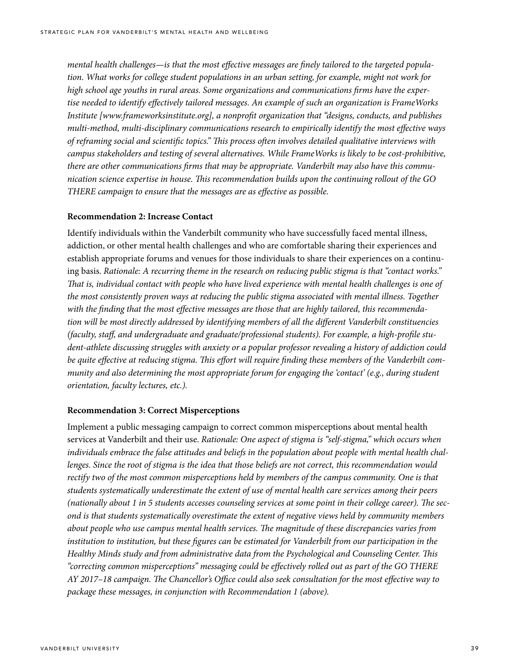*mental health challenges—is that the most effective messages are finely tailored to the targeted population. What works for college student populations in an urban setting, for example, might not work for high school age youths in rural areas. Some organizations and communications firms have the expertise needed to identify effectively tailored messages. An example of such an organization is FrameWorks Institute [www.frameworksinstitute.org], a nonprofit organization that "designs, conducts, and publishes multi-method, multi-disciplinary communications research to empirically identify the most effective ways of reframing social and scientific topics." This process often involves detailed qualitative interviews with campus stakeholders and testing of several alternatives. While FrameWorks is likely to be cost-prohibitive, there are other communications firms that may be appropriate. Vanderbilt may also have this communication science expertise in house. This recommendation builds upon the continuing rollout of the GO THERE campaign to ensure that the messages are as effective as possible.*

#### **Recommendation 2: Increase Contact**

Identify individuals within the Vanderbilt community who have successfully faced mental illness, addiction, or other mental health challenges and who are comfortable sharing their experiences and establish appropriate forums and venues for those individuals to share their experiences on a continuing basis. *Rationale: A recurring theme in the research on reducing public stigma is that "contact works." That is, individual contact with people who have lived experience with mental health challenges is one of the most consistently proven ways at reducing the public stigma associated with mental illness. Together with the finding that the most effective messages are those that are highly tailored, this recommendation will be most directly addressed by identifying members of all the different Vanderbilt constituencies (faculty, staff, and undergraduate and graduate/professional students). For example, a high-profile student-athlete discussing struggles with anxiety or a popular professor revealing a history of addiction could be quite effective at reducing stigma. This effort will require finding these members of the Vanderbilt community and also determining the most appropriate forum for engaging the 'contact' (e.g., during student orientation, faculty lectures, etc.).*

#### **Recommendation 3: Correct Misperceptions**

Implement a public messaging campaign to correct common misperceptions about mental health services at Vanderbilt and their use. *Rationale: One aspect of stigma is "self-stigma," which occurs when individuals embrace the false attitudes and beliefs in the population about people with mental health challenges. Since the root of stigma is the idea that those beliefs are not correct, this recommendation would*  rectify two of the most common misperceptions held by members of the campus community. One is that *students systematically underestimate the extent of use of mental health care services among their peers (nationally about 1 in 5 students accesses counseling services at some point in their college career). The second is that students systematically overestimate the extent of negative views held by community members about people who use campus mental health services. The magnitude of these discrepancies varies from institution to institution, but these figures can be estimated for Vanderbilt from our participation in the Healthy Minds study and from administrative data from the Psychological and Counseling Center. This "correcting common misperceptions" messaging could be effectively rolled out as part of the GO THERE AY 2017–18 campaign. The Chancellor's Office could also seek consultation for the most effective way to package these messages, in conjunction with Recommendation 1 (above).*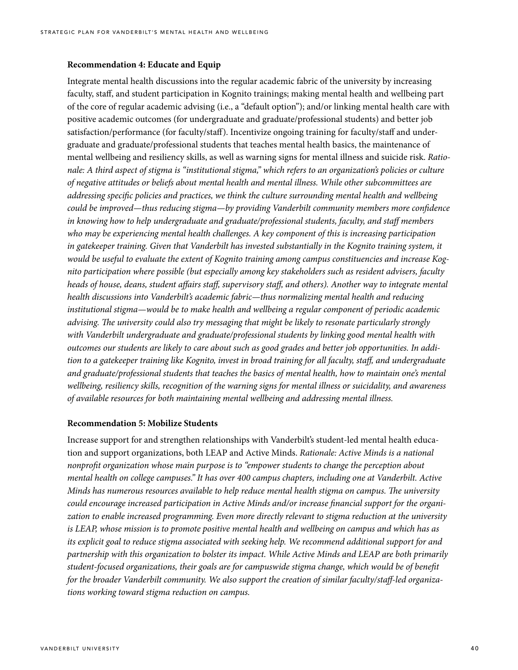#### **Recommendation 4: Educate and Equip**

Integrate mental health discussions into the regular academic fabric of the university by increasing faculty, staff, and student participation in Kognito trainings; making mental health and wellbeing part of the core of regular academic advising (i.e., a "default option"); and/or linking mental health care with positive academic outcomes (for undergraduate and graduate/professional students) and better job satisfaction/performance (for faculty/staff). Incentivize ongoing training for faculty/staff and undergraduate and graduate/professional students that teaches mental health basics, the maintenance of mental wellbeing and resiliency skills, as well as warning signs for mental illness and suicide risk. *Rationale: A third aspect of stigma is "institutional stigma," which refers to an organization's policies or culture of negative attitudes or beliefs about mental health and mental illness. While other subcommittees are addressing specific policies and practices, we think the culture surrounding mental health and wellbeing could be improved—thus reducing stigma—by providing Vanderbilt community members more confidence in knowing how to help undergraduate and graduate/professional students, faculty, and staff members who may be experiencing mental health challenges. A key component of this is increasing participation in gatekeeper training. Given that Vanderbilt has invested substantially in the Kognito training system, it would be useful to evaluate the extent of Kognito training among campus constituencies and increase Kognito participation where possible (but especially among key stakeholders such as resident advisers, faculty heads of house, deans, student affairs staff, supervisory staff, and others). Another way to integrate mental health discussions into Vanderbilt's academic fabric—thus normalizing mental health and reducing institutional stigma—would be to make health and wellbeing a regular component of periodic academic advising. The university could also try messaging that might be likely to resonate particularly strongly with Vanderbilt undergraduate and graduate/professional students by linking good mental health with outcomes our students are likely to care about such as good grades and better job opportunities. In addition to a gatekeeper training like Kognito, invest in broad training for all faculty, staff, and undergraduate and graduate/professional students that teaches the basics of mental health, how to maintain one's mental wellbeing, resiliency skills, recognition of the warning signs for mental illness or suicidality, and awareness of available resources for both maintaining mental wellbeing and addressing mental illness.*

#### **Recommendation 5: Mobilize Students**

Increase support for and strengthen relationships with Vanderbilt's student-led mental health education and support organizations, both LEAP and Active Minds. *Rationale: Active Minds is a national nonprofit organization whose main purpose is to "empower students to change the perception about mental health on college campuses." It has over 400 campus chapters, including one at Vanderbilt. Active Minds has numerous resources available to help reduce mental health stigma on campus. The university could encourage increased participation in Active Minds and/or increase financial support for the organization to enable increased programming. Even more directly relevant to stigma reduction at the university is LEAP, whose mission is to promote positive mental health and wellbeing on campus and which has as its explicit goal to reduce stigma associated with seeking help. We recommend additional support for and partnership with this organization to bolster its impact. While Active Minds and LEAP are both primarily student-focused organizations, their goals are for campuswide stigma change, which would be of benefit for the broader Vanderbilt community. We also support the creation of similar faculty/staff-led organizations working toward stigma reduction on campus.*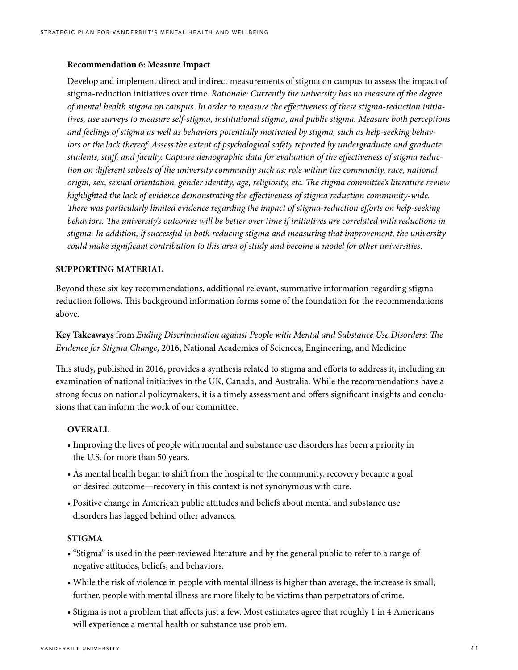#### **Recommendation 6: Measure Impact**

Develop and implement direct and indirect measurements of stigma on campus to assess the impact of stigma-reduction initiatives over time. *Rationale: Currently the university has no measure of the degree of mental health stigma on campus. In order to measure the effectiveness of these stigma-reduction initiatives, use surveys to measure self-stigma, institutional stigma, and public stigma. Measure both perceptions and feelings of stigma as well as behaviors potentially motivated by stigma, such as help-seeking behaviors or the lack thereof. Assess the extent of psychological safety reported by undergraduate and graduate students, staff, and faculty. Capture demographic data for evaluation of the effectiveness of stigma reduction on different subsets of the university community such as: role within the community, race, national origin, sex, sexual orientation, gender identity, age, religiosity, etc. The stigma committee's literature review highlighted the lack of evidence demonstrating the effectiveness of stigma reduction community-wide. There was particularly limited evidence regarding the impact of stigma-reduction efforts on help-seeking behaviors. The university's outcomes will be better over time if initiatives are correlated with reductions in stigma. In addition, if successful in both reducing stigma and measuring that improvement, the university could make significant contribution to this area of study and become a model for other universities.*

#### **SUPPORTING MATERIAL**

Beyond these six key recommendations, additional relevant, summative information regarding stigma reduction follows. This background information forms some of the foundation for the recommendations above.

**Key Takeaways** from *Ending Discrimination against People with Mental and Substance Use Disorders: The Evidence for Stigma Change,* 2016, National Academies of Sciences, Engineering, and Medicine

This study, published in 2016, provides a synthesis related to stigma and efforts to address it, including an examination of national initiatives in the UK, Canada, and Australia. While the recommendations have a strong focus on national policymakers, it is a timely assessment and offers significant insights and conclusions that can inform the work of our committee.

#### **OVERALL**

- Improving the lives of people with mental and substance use disorders has been a priority in the U.S. for more than 50 years.
- As mental health began to shift from the hospital to the community, recovery became a goal or desired outcome—recovery in this context is not synonymous with cure.
- Positive change in American public attitudes and beliefs about mental and substance use disorders has lagged behind other advances.

#### **STIGMA**

- "Stigma" is used in the peer-reviewed literature and by the general public to refer to a range of negative attitudes, beliefs, and behaviors.
- While the risk of violence in people with mental illness is higher than average, the increase is small; further, people with mental illness are more likely to be victims than perpetrators of crime.
- Stigma is not a problem that affects just a few. Most estimates agree that roughly 1 in 4 Americans will experience a mental health or substance use problem.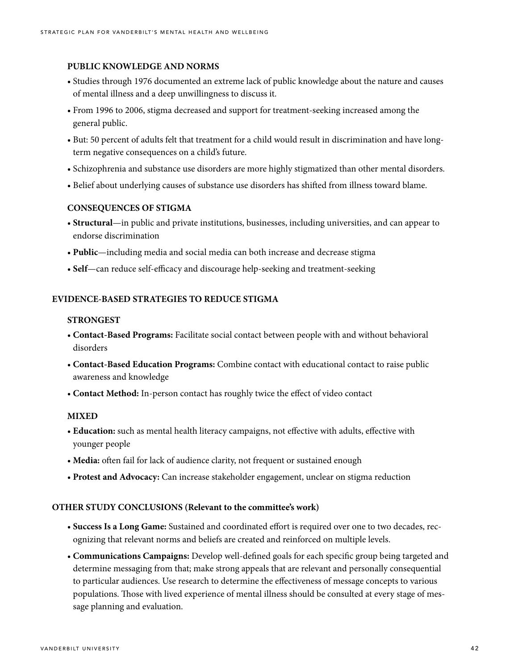#### **PUBLIC KNOWLEDGE AND NORMS**

- Studies through 1976 documented an extreme lack of public knowledge about the nature and causes of mental illness and a deep unwillingness to discuss it.
- From 1996 to 2006, stigma decreased and support for treatment-seeking increased among the general public.
- But: 50 percent of adults felt that treatment for a child would result in discrimination and have longterm negative consequences on a child's future.
- Schizophrenia and substance use disorders are more highly stigmatized than other mental disorders.
- Belief about underlying causes of substance use disorders has shifted from illness toward blame.

#### **CONSEQUENCES OF STIGMA**

- **Structural**—in public and private institutions, businesses, including universities, and can appear to endorse discrimination
- **Public**—including media and social media can both increase and decrease stigma
- **Self**—can reduce self-efficacy and discourage help-seeking and treatment-seeking

#### **EVIDENCE-BASED STRATEGIES TO REDUCE STIGMA**

#### **STRONGEST**

- **Contact-Based Programs:** Facilitate social contact between people with and without behavioral disorders
- **Contact-Based Education Programs:** Combine contact with educational contact to raise public awareness and knowledge
- **Contact Method:** In-person contact has roughly twice the effect of video contact

#### **MIXED**

- **Education:** such as mental health literacy campaigns, not effective with adults, effective with younger people
- **Media:** often fail for lack of audience clarity, not frequent or sustained enough
- **Protest and Advocacy:** Can increase stakeholder engagement, unclear on stigma reduction

#### **OTHER STUDY CONCLUSIONS (Relevant to the committee's work)**

- **Success Is a Long Game:** Sustained and coordinated effort is required over one to two decades, recognizing that relevant norms and beliefs are created and reinforced on multiple levels.
- **Communications Campaigns:** Develop well-defined goals for each specific group being targeted and determine messaging from that; make strong appeals that are relevant and personally consequential to particular audiences. Use research to determine the effectiveness of message concepts to various populations. Those with lived experience of mental illness should be consulted at every stage of message planning and evaluation.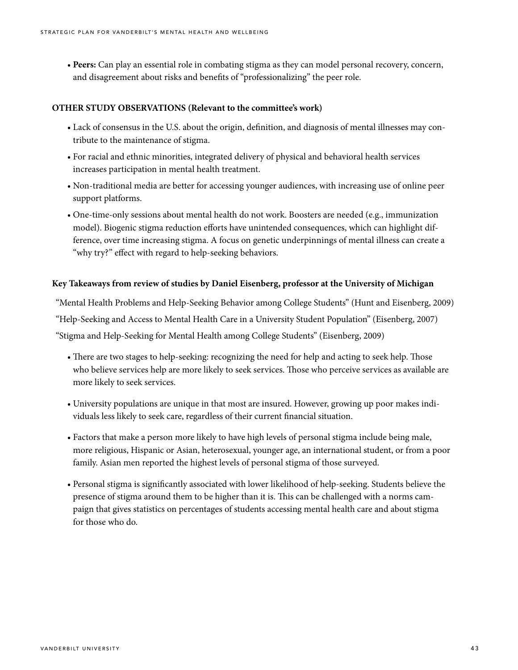• **Peers:** Can play an essential role in combating stigma as they can model personal recovery, concern, and disagreement about risks and benefits of "professionalizing" the peer role.

#### **OTHER STUDY OBSERVATIONS (Relevant to the committee's work)**

- Lack of consensus in the U.S. about the origin, definition, and diagnosis of mental illnesses may contribute to the maintenance of stigma.
- For racial and ethnic minorities, integrated delivery of physical and behavioral health services increases participation in mental health treatment.
- Non-traditional media are better for accessing younger audiences, with increasing use of online peer support platforms.
- One-time-only sessions about mental health do not work. Boosters are needed (e.g., immunization model). Biogenic stigma reduction efforts have unintended consequences, which can highlight difference, over time increasing stigma. A focus on genetic underpinnings of mental illness can create a "why try?" effect with regard to help-seeking behaviors.

#### **Key Takeaways from review of studies by Daniel Eisenberg, professor at the University of Michigan**

"Mental Health Problems and Help-Seeking Behavior among College Students" (Hunt and Eisenberg, 2009) "Help-Seeking and Access to Mental Health Care in a University Student Population" (Eisenberg, 2007) "Stigma and Help-Seeking for Mental Health among College Students" (Eisenberg, 2009)

- There are two stages to help-seeking: recognizing the need for help and acting to seek help. Those who believe services help are more likely to seek services. Those who perceive services as available are more likely to seek services.
- University populations are unique in that most are insured. However, growing up poor makes individuals less likely to seek care, regardless of their current financial situation.
- Factors that make a person more likely to have high levels of personal stigma include being male, more religious, Hispanic or Asian, heterosexual, younger age, an international student, or from a poor family. Asian men reported the highest levels of personal stigma of those surveyed.
- Personal stigma is significantly associated with lower likelihood of help-seeking. Students believe the presence of stigma around them to be higher than it is. This can be challenged with a norms campaign that gives statistics on percentages of students accessing mental health care and about stigma for those who do.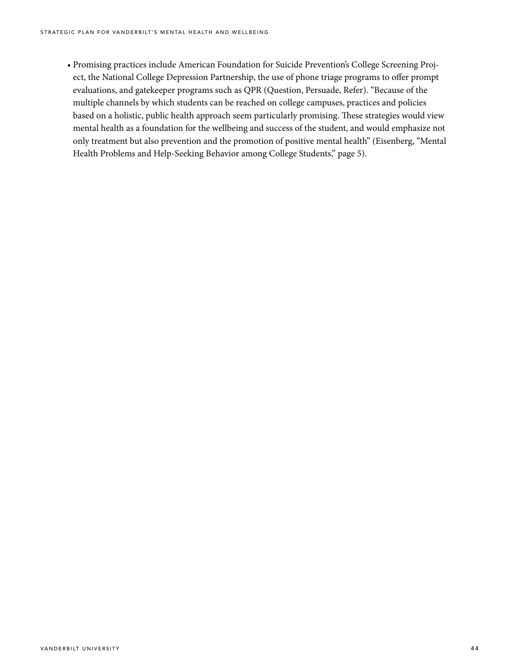• Promising practices include American Foundation for Suicide Prevention's College Screening Project, the National College Depression Partnership, the use of phone triage programs to offer prompt evaluations, and gatekeeper programs such as QPR (Question, Persuade, Refer). "Because of the multiple channels by which students can be reached on college campuses, practices and policies based on a holistic, public health approach seem particularly promising. These strategies would view mental health as a foundation for the wellbeing and success of the student, and would emphasize not only treatment but also prevention and the promotion of positive mental health" (Eisenberg, "Mental Health Problems and Help-Seeking Behavior among College Students," page 5).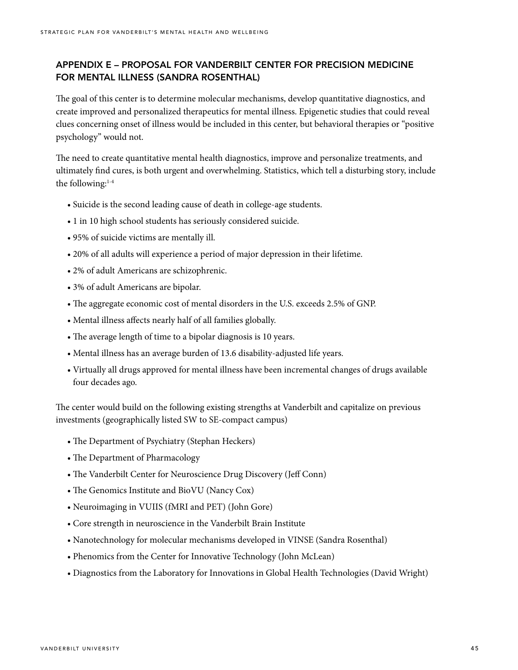## APPENDIX E – PROPOSAL FOR VANDERBILT CENTER FOR PRECISION MEDICINE FOR MENTAL ILLNESS (SANDRA ROSENTHAL)

The goal of this center is to determine molecular mechanisms, develop quantitative diagnostics, and create improved and personalized therapeutics for mental illness. Epigenetic studies that could reveal clues concerning onset of illness would be included in this center, but behavioral therapies or "positive psychology" would not.

The need to create quantitative mental health diagnostics, improve and personalize treatments, and ultimately find cures, is both urgent and overwhelming. Statistics, which tell a disturbing story, include the following: $1-4$ 

- Suicide is the second leading cause of death in college-age students.
- 1 in 10 high school students has seriously considered suicide.
- 95% of suicide victims are mentally ill.
- 20% of all adults will experience a period of major depression in their lifetime.
- 2% of adult Americans are schizophrenic.
- 3% of adult Americans are bipolar.
- The aggregate economic cost of mental disorders in the U.S. exceeds 2.5% of GNP.
- Mental illness affects nearly half of all families globally.
- The average length of time to a bipolar diagnosis is 10 years.
- Mental illness has an average burden of 13.6 disability-adjusted life years.
- Virtually all drugs approved for mental illness have been incremental changes of drugs available four decades ago.

The center would build on the following existing strengths at Vanderbilt and capitalize on previous investments (geographically listed SW to SE-compact campus)

- The Department of Psychiatry (Stephan Heckers)
- The Department of Pharmacology
- The Vanderbilt Center for Neuroscience Drug Discovery (Jeff Conn)
- The Genomics Institute and BioVU (Nancy Cox)
- Neuroimaging in VUIIS (fMRI and PET) (John Gore)
- Core strength in neuroscience in the Vanderbilt Brain Institute
- Nanotechnology for molecular mechanisms developed in VINSE (Sandra Rosenthal)
- Phenomics from the Center for Innovative Technology (John McLean)
- Diagnostics from the Laboratory for Innovations in Global Health Technologies (David Wright)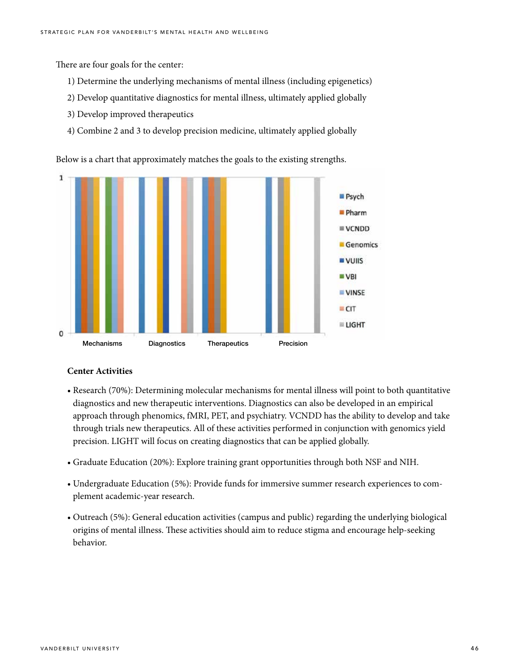There are four goals for the center:

- 1) Determine the underlying mechanisms of mental illness (including epigenetics)
- 2) Develop quantitative diagnostics for mental illness, ultimately applied globally
- 3) Develop improved therapeutics
- 4) Combine 2 and 3 to develop precision medicine, ultimately applied globally

Below is a chart that approximately matches the goals to the existing strengths.



#### **Center Activities**

- Research (70%): Determining molecular mechanisms for mental illness will point to both quantitative diagnostics and new therapeutic interventions. Diagnostics can also be developed in an empirical approach through phenomics, fMRI, PET, and psychiatry. VCNDD has the ability to develop and take through trials new therapeutics. All of these activities performed in conjunction with genomics yield precision. LIGHT will focus on creating diagnostics that can be applied globally.
- Graduate Education (20%): Explore training grant opportunities through both NSF and NIH.
- Undergraduate Education (5%): Provide funds for immersive summer research experiences to complement academic-year research.
- Outreach (5%): General education activities (campus and public) regarding the underlying biological origins of mental illness. These activities should aim to reduce stigma and encourage help-seeking behavior.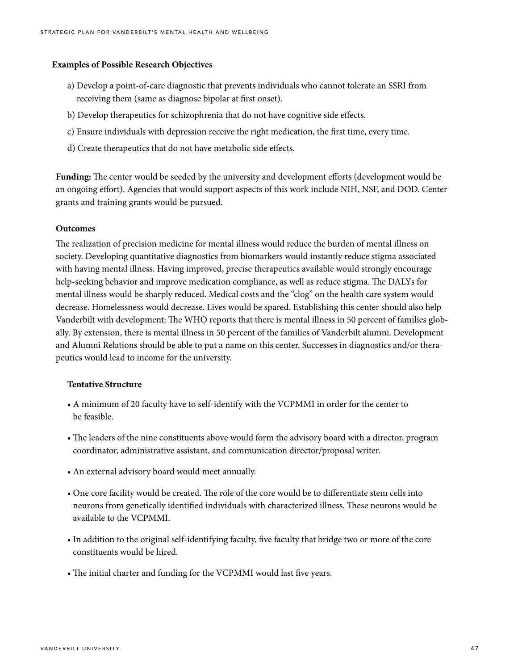#### **Examples of Possible Research Objectives**

- a) Develop a point-of-care diagnostic that prevents individuals who cannot tolerate an SSRI from receiving them (same as diagnose bipolar at first onset).
- b) Develop therapeutics for schizophrenia that do not have cognitive side effects.
- c) Ensure individuals with depression receive the right medication, the first time, every time.
- d) Create therapeutics that do not have metabolic side effects.

**Funding:** The center would be seeded by the university and development efforts (development would be an ongoing effort). Agencies that would support aspects of this work include NIH, NSF, and DOD. Center grants and training grants would be pursued.

#### **Outcomes**

The realization of precision medicine for mental illness would reduce the burden of mental illness on society. Developing quantitative diagnostics from biomarkers would instantly reduce stigma associated with having mental illness. Having improved, precise therapeutics available would strongly encourage help-seeking behavior and improve medication compliance, as well as reduce stigma. The DALYs for mental illness would be sharply reduced. Medical costs and the "clog" on the health care system would decrease. Homelessness would decrease. Lives would be spared. Establishing this center should also help Vanderbilt with development: The WHO reports that there is mental illness in 50 percent of families globally. By extension, there is mental illness in 50 percent of the families of Vanderbilt alumni. Development and Alumni Relations should be able to put a name on this center. Successes in diagnostics and/or therapeutics would lead to income for the university.

#### **Tentative Structure**

- A minimum of 20 faculty have to self-identify with the VCPMMI in order for the center to be feasible.
- The leaders of the nine constituents above would form the advisory board with a director, program coordinator, administrative assistant, and communication director/proposal writer.
- An external advisory board would meet annually.
- One core facility would be created. The role of the core would be to differentiate stem cells into neurons from genetically identified individuals with characterized illness. These neurons would be available to the VCPMMI.
- In addition to the original self-identifying faculty, five faculty that bridge two or more of the core constituents would be hired.
- The initial charter and funding for the VCPMMI would last five years.